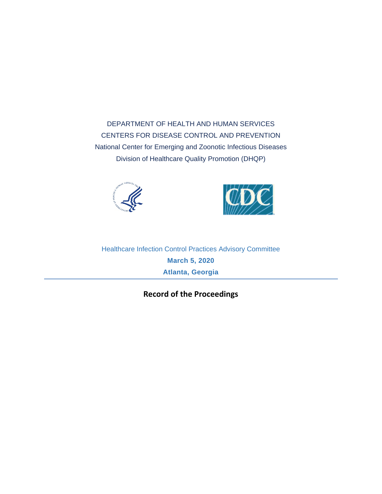DEPARTMENT OF HEALTH AND HUMAN SERVICES CENTERS FOR DISEASE CONTROL AND PREVENTION National Center for Emerging and Zoonotic Infectious Diseases Division of Healthcare Quality Promotion (DHQP)





<span id="page-0-0"></span>Healthcare Infection Control Practices Advisory Committee **March 5, 2020 Atlanta, Georgia**

**Record of the Proceedings**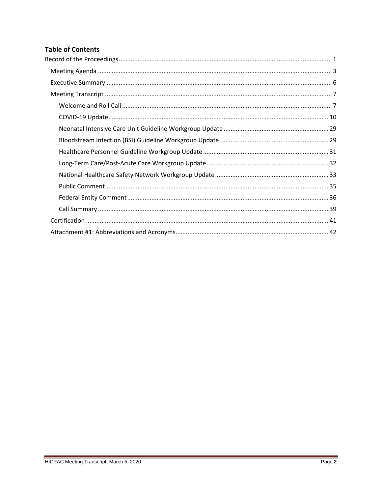# **Table of Contents**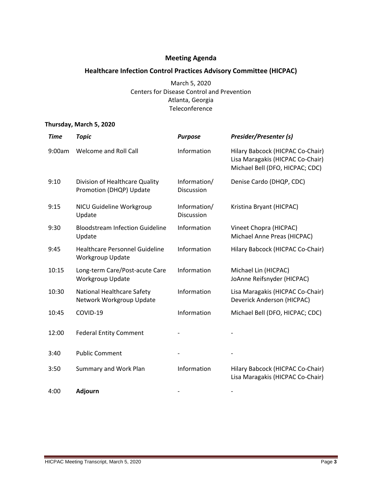# **Meeting Agenda**

# <span id="page-2-0"></span>**Healthcare Infection Control Practices Advisory Committee (HICPAC)**

March 5, 2020 Centers for Disease Control and Prevention Atlanta, Georgia Teleconference

# **Thursday, March 5, 2020**

| <b>Time</b> | <b>Topic</b>                                              | <b>Purpose</b>             | Presider/Presenter (s)                                                                                  |
|-------------|-----------------------------------------------------------|----------------------------|---------------------------------------------------------------------------------------------------------|
| 9:00am      | Welcome and Roll Call                                     | Information                | Hilary Babcock (HICPAC Co-Chair)<br>Lisa Maragakis (HICPAC Co-Chair)<br>Michael Bell (DFO, HICPAC; CDC) |
| 9:10        | Division of Healthcare Quality<br>Promotion (DHQP) Update | Information/<br>Discussion | Denise Cardo (DHQP, CDC)                                                                                |
| 9:15        | NICU Guideline Workgroup<br>Update                        | Information/<br>Discussion | Kristina Bryant (HICPAC)                                                                                |
| 9:30        | <b>Bloodstream Infection Guideline</b><br>Update          | Information                | Vineet Chopra (HICPAC)<br>Michael Anne Preas (HICPAC)                                                   |
| 9:45        | <b>Healthcare Personnel Guideline</b><br>Workgroup Update | Information                | Hilary Babcock (HICPAC Co-Chair)                                                                        |
| 10:15       | Long-term Care/Post-acute Care<br>Workgroup Update        | Information                | Michael Lin (HICPAC)<br>JoAnne Reifsnyder (HICPAC)                                                      |
| 10:30       | National Healthcare Safety<br>Network Workgroup Update    | Information                | Lisa Maragakis (HICPAC Co-Chair)<br>Deverick Anderson (HICPAC)                                          |
| 10:45       | COVID-19                                                  | Information                | Michael Bell (DFO, HICPAC; CDC)                                                                         |
| 12:00       | <b>Federal Entity Comment</b>                             |                            |                                                                                                         |
| 3:40        | <b>Public Comment</b>                                     |                            |                                                                                                         |
| 3:50        | <b>Summary and Work Plan</b>                              | Information                | Hilary Babcock (HICPAC Co-Chair)<br>Lisa Maragakis (HICPAC Co-Chair)                                    |
| 4:00        | <b>Adjourn</b>                                            |                            |                                                                                                         |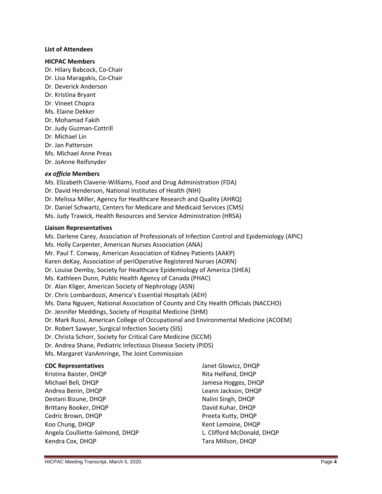#### **List of Attendees**

#### **HICPAC Members**

Dr. Hilary Babcock, Co-Chair Dr. Lisa Maragakis, Co-Chair Dr. Deverick Anderson Dr. Kristina Bryant Dr. Vineet Chopra Ms. Elaine Dekker Dr. Mohamad Fakih Dr. Judy Guzman-Cottrill Dr. Michael Lin Dr. Jan Patterson Ms. Michael Anne Preas Dr. JoAnne Reifsnyder

#### *ex officio* **Members**

Ms. Elizabeth Claverie-Williams, Food and Drug Administration (FDA) Dr. David Henderson, National Institutes of Health (NIH) Dr. Melissa Miller, Agency for Healthcare Research and Quality (AHRQ) Dr. Daniel Schwartz, Centers for Medicare and Medicaid Services (CMS) Ms. Judy Trawick, Health Resources and Service Administration (HRSA)

#### **Liaison Representatives**

Ms. Darlene Carey, Association of Professionals of Infection Control and Epidemiology (APIC) Ms. Holly Carpenter, American Nurses Association (ANA) Mr. Paul T. Conway, American Association of Kidney Patients (AAKP) Karen deKay, Association of periOperative Registered Nurses (AORN) Dr. Louise Demby, Society for Healthcare Epidemiology of America (SHEA) Ms. Kathleen Dunn, Public Health Agency of Canada (PHAC) Dr. Alan Kliger, American Society of Nephrology (ASN) Dr. Chris Lombardozzi, America's Essential Hospitals (AEH) Ms. Dana Nguyen, National Association of County and City Health Officials (NACCHO) Dr. Jennifer Meddings, Society of Hospital Medicine (SHM) Dr. Mark Russi, American College of Occupational and Environmental Medicine (ACOEM) Dr. Robert Sawyer, Surgical Infection Society (SIS) Dr. Christa Schorr, Society for Critical Care Medicine (SCCM) Dr. Andrea Shane, Pediatric Infectious Disease Society (PIDS) Ms. Margaret VanAmringe, The Joint Commission

#### **CDC Representatives** Kristina Baister, DHQP Michael Bell, DHQP Andrea Benin, DHQP Destani Bizune, DHQP Brittany Booker, DHQP Cedric Brown, DHQP Koo Chung, DHQP Angela Coulliette-Salmond, DHQP Kendra Cox, DHQP Janet Glowicz, DHQP Rita Helfand, DHQP Jamesa Hogges, DHQP Leann Jackson, DHQP Nalini Singh, DHQP David Kuhar, DHQP Preeta Kutty, DHQP Kent Lemoine, DHQP L. Clifford McDonald, DHQP Tara Millson, DHQP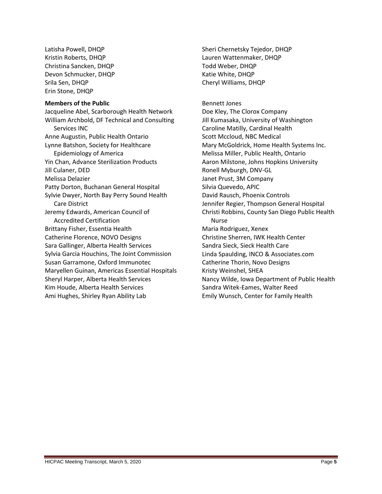Latisha Powell, DHQP Kristin Roberts, DHQP Christina Sancken, DHQP Devon Schmucker, DHQP Srila Sen, DHQP Erin Stone, DHQP

#### **Members of the Public**

Jacqueline Abel, Scarborough Health Network William Archbold, DF Technical and Consulting Services INC Anne Augustin, Public Health Ontario Lynne Batshon, Society for Healthcare Epidemiology of America Yin Chan, Advance Sterilization Products Jill Culaner, DED Melissa Delazier Patty Dorton, Buchanan General Hospital Sylvie Dwyer, North Bay Perry Sound Health Care District Jeremy Edwards, American Council of Accredited Certification Brittany Fisher, Essentia Health Catherine Florence, NOVO Designs Sara Gallinger, Alberta Health Services Sylvia Garcia Houchins, The Joint Commission Susan Garramone, Oxford Immunotec Maryellen Guinan, Americas Essential Hospitals Sheryl Harper, Alberta Health Services Kim Houde, Alberta Health Services Ami Hughes, Shirley Ryan Ability Lab

Sheri Chernetsky Tejedor, DHQP Lauren Wattenmaker, DHQP Todd Weber, DHQP Katie White, DHQP Cheryl Williams, DHQP

Bennett Jones Doe Kley, The Clorox Company Jill Kumasaka, University of Washington Caroline Matilly, Cardinal Health Scott Mccloud, NBC Medical Mary McGoldrick, Home Health Systems Inc. Melissa Miller, Public Health, Ontario Aaron Milstone, Johns Hopkins University Ronell Myburgh, DNV-GL Janet Prust, 3M Company Silvia Quevedo, APIC David Rausch, Phoenix Controls Jennifer Regier, Thompson General Hospital Christi Robbins, County San Diego Public Health Nurse Maria Rodriguez, Xenex Christine Sherren, IWK Health Center Sandra Sieck, Sieck Health Care Linda Spaulding, INCO & Associates.com Catherine Thorin, Novo Designs Kristy Weinshel, SHEA Nancy Wilde, Iowa Department of Public Health Sandra Witek-Eames, Walter Reed Emily Wunsch, Center for Family Health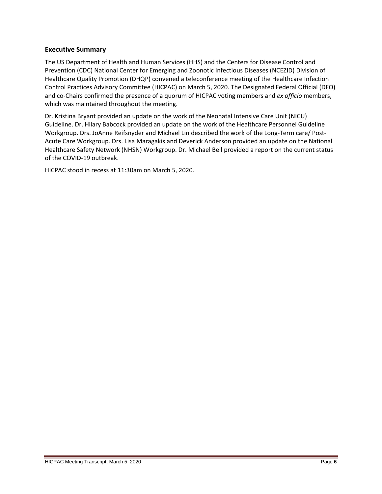# <span id="page-5-0"></span>**Executive Summary**

The US Department of Health and Human Services (HHS) and the Centers for Disease Control and Prevention (CDC) National Center for Emerging and Zoonotic Infectious Diseases (NCEZID) Division of Healthcare Quality Promotion (DHQP) convened a teleconference meeting of the Healthcare Infection Control Practices Advisory Committee (HICPAC) on March 5, 2020. The Designated Federal Official (DFO) and co-Chairs confirmed the presence of a quorum of HICPAC voting members and *ex officio* members, which was maintained throughout the meeting.

Dr. Kristina Bryant provided an update on the work of the Neonatal Intensive Care Unit (NICU) Guideline. Dr. Hilary Babcock provided an update on the work of the Healthcare Personnel Guideline Workgroup. Drs. JoAnne Reifsnyder and Michael Lin described the work of the Long-Term care/ Post-Acute Care Workgroup. Drs. Lisa Maragakis and Deverick Anderson provided an update on the National Healthcare Safety Network (NHSN) Workgroup. Dr. Michael Bell provided a report on the current status of the COVID-19 outbreak.

HICPAC stood in recess at 11:30am on March 5, 2020.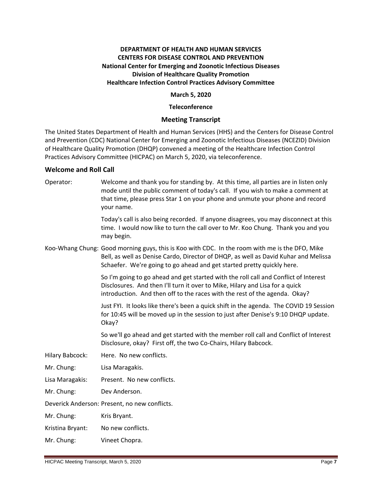# **DEPARTMENT OF HEALTH AND HUMAN SERVICES CENTERS FOR DISEASE CONTROL AND PREVENTION National Center for Emerging and Zoonotic Infectious Diseases Division of Healthcare Quality Promotion Healthcare Infection Control Practices Advisory Committee**

# **March 5, 2020**

# **Teleconference**

# **Meeting Transcript**

<span id="page-6-0"></span>The United States Department of Health and Human Services (HHS) and the Centers for Disease Control and Prevention (CDC) National Center for Emerging and Zoonotic Infectious Diseases (NCEZID) Division of Healthcare Quality Promotion (DHQP) convened a meeting of the Healthcare Infection Control Practices Advisory Committee (HICPAC) on March 5, 2020, via teleconference.

# <span id="page-6-1"></span>**Welcome and Roll Call**

Operator: Welcome and thank you for standing by. At this time, all parties are in listen only mode until the public comment of today's call. If you wish to make a comment at that time, please press Star 1 on your phone and unmute your phone and record your name. Today's call is also being recorded. If anyone disagrees, you may disconnect at this time. I would now like to turn the call over to Mr. Koo Chung. Thank you and you may begin. Koo-Whang Chung: Good morning guys, this is Koo with CDC. In the room with me is the DFO, Mike Bell, as well as Denise Cardo, Director of DHQP, as well as David Kuhar and Melissa Schaefer. We're going to go ahead and get started pretty quickly here. So I'm going to go ahead and get started with the roll call and Conflict of Interest Disclosures. And then I'll turn it over to Mike, Hilary and Lisa for a quick introduction. And then off to the races with the rest of the agenda. Okay? Just FYI. It looks like there's been a quick shift in the agenda. The COVID 19 Session for 10:45 will be moved up in the session to just after Denise's 9:10 DHQP update. Okay? So we'll go ahead and get started with the member roll call and Conflict of Interest Disclosure, okay? First off, the two Co-Chairs, Hilary Babcock. Hilary Babcock: Here. No new conflicts. Mr. Chung: Lisa Maragakis. Lisa Maragakis: Present. No new conflicts. Mr. Chung: Dev Anderson. Deverick Anderson: Present, no new conflicts. Mr. Chung: Kris Bryant. Kristina Bryant: No new conflicts. Mr. Chung: Vineet Chopra.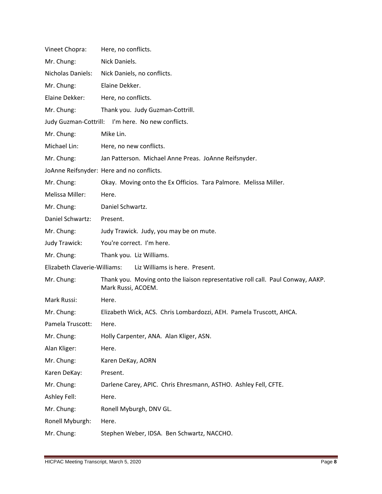| Vineet Chopra:               | Here, no conflicts.                                                                                   |
|------------------------------|-------------------------------------------------------------------------------------------------------|
| Mr. Chung:                   | Nick Daniels.                                                                                         |
| Nicholas Daniels:            | Nick Daniels, no conflicts.                                                                           |
| Mr. Chung:                   | Elaine Dekker.                                                                                        |
| Elaine Dekker:               | Here, no conflicts.                                                                                   |
| Mr. Chung:                   | Thank you. Judy Guzman-Cottrill.                                                                      |
|                              | Judy Guzman-Cottrill: I'm here. No new conflicts.                                                     |
| Mr. Chung:                   | Mike Lin.                                                                                             |
| Michael Lin:                 | Here, no new conflicts.                                                                               |
| Mr. Chung:                   | Jan Patterson. Michael Anne Preas. JoAnne Reifsnyder.                                                 |
|                              | JoAnne Reifsnyder: Here and no conflicts.                                                             |
| Mr. Chung:                   | Okay. Moving onto the Ex Officios. Tara Palmore. Melissa Miller.                                      |
| Melissa Miller:              | Here.                                                                                                 |
| Mr. Chung:                   | Daniel Schwartz.                                                                                      |
| Daniel Schwartz:             | Present.                                                                                              |
| Mr. Chung:                   | Judy Trawick. Judy, you may be on mute.                                                               |
| Judy Trawick:                | You're correct. I'm here.                                                                             |
| Mr. Chung:                   | Thank you. Liz Williams.                                                                              |
| Elizabeth Claverie-Williams: | Liz Williams is here. Present.                                                                        |
| Mr. Chung:                   | Thank you. Moving onto the liaison representative roll call. Paul Conway, AAKP.<br>Mark Russi, ACOEM. |
| Mark Russi:                  | Here.                                                                                                 |
| Mr. Chung:                   | Elizabeth Wick, ACS. Chris Lombardozzi, AEH. Pamela Truscott, AHCA.                                   |
| Pamela Truscott:             | Here                                                                                                  |
| Mr. Chung:                   | Holly Carpenter, ANA. Alan Kliger, ASN.                                                               |
| Alan Kliger:                 | Here.                                                                                                 |
| Mr. Chung:                   | Karen DeKay, AORN                                                                                     |
| Karen DeKay:                 | Present.                                                                                              |
| Mr. Chung:                   | Darlene Carey, APIC. Chris Ehresmann, ASTHO. Ashley Fell, CFTE.                                       |
| Ashley Fell:                 | Here.                                                                                                 |
| Mr. Chung:                   | Ronell Myburgh, DNV GL.                                                                               |
| Ronell Myburgh:              | Here.                                                                                                 |
| Mr. Chung:                   | Stephen Weber, IDSA. Ben Schwartz, NACCHO.                                                            |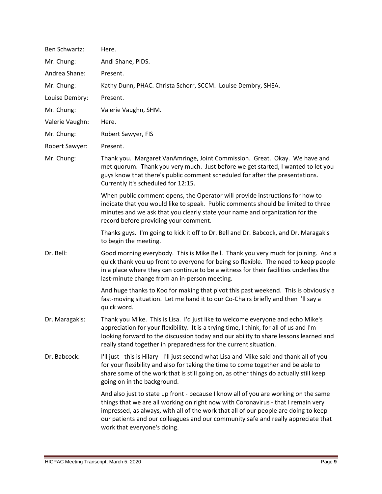| Ben Schwartz:   | Here.                                                                                                                                                                                                                                                                                                                                                                               |
|-----------------|-------------------------------------------------------------------------------------------------------------------------------------------------------------------------------------------------------------------------------------------------------------------------------------------------------------------------------------------------------------------------------------|
| Mr. Chung:      | Andi Shane, PIDS.                                                                                                                                                                                                                                                                                                                                                                   |
| Andrea Shane:   | Present.                                                                                                                                                                                                                                                                                                                                                                            |
| Mr. Chung:      | Kathy Dunn, PHAC. Christa Schorr, SCCM. Louise Dembry, SHEA.                                                                                                                                                                                                                                                                                                                        |
| Louise Dembry:  | Present.                                                                                                                                                                                                                                                                                                                                                                            |
| Mr. Chung:      | Valerie Vaughn, SHM.                                                                                                                                                                                                                                                                                                                                                                |
| Valerie Vaughn: | Here.                                                                                                                                                                                                                                                                                                                                                                               |
| Mr. Chung:      | Robert Sawyer, FIS                                                                                                                                                                                                                                                                                                                                                                  |
| Robert Sawyer:  | Present.                                                                                                                                                                                                                                                                                                                                                                            |
| Mr. Chung:      | Thank you. Margaret VanAmringe, Joint Commission. Great. Okay. We have and<br>met quorum. Thank you very much. Just before we get started, I wanted to let you<br>guys know that there's public comment scheduled for after the presentations.<br>Currently it's scheduled for 12:15.                                                                                               |
|                 | When public comment opens, the Operator will provide instructions for how to<br>indicate that you would like to speak. Public comments should be limited to three<br>minutes and we ask that you clearly state your name and organization for the<br>record before providing your comment.                                                                                          |
|                 | Thanks guys. I'm going to kick it off to Dr. Bell and Dr. Babcock, and Dr. Maragakis<br>to begin the meeting.                                                                                                                                                                                                                                                                       |
| Dr. Bell:       | Good morning everybody. This is Mike Bell. Thank you very much for joining. And a<br>quick thank you up front to everyone for being so flexible. The need to keep people<br>in a place where they can continue to be a witness for their facilities underlies the<br>last-minute change from an in-person meeting.                                                                  |
|                 | And huge thanks to Koo for making that pivot this past weekend. This is obviously a<br>fast-moving situation. Let me hand it to our Co-Chairs briefly and then I'll say a<br>quick word.                                                                                                                                                                                            |
| Dr. Maragakis:  | Thank you Mike. This is Lisa. I'd just like to welcome everyone and echo Mike's<br>appreciation for your flexibility. It is a trying time, I think, for all of us and I'm<br>looking forward to the discussion today and our ability to share lessons learned and<br>really stand together in preparedness for the current situation.                                               |
| Dr. Babcock:    | I'll just - this is Hilary - I'll just second what Lisa and Mike said and thank all of you<br>for your flexibility and also for taking the time to come together and be able to<br>share some of the work that is still going on, as other things do actually still keep<br>going on in the background.                                                                             |
|                 | And also just to state up front - because I know all of you are working on the same<br>things that we are all working on right now with Coronavirus - that I remain very<br>impressed, as always, with all of the work that all of our people are doing to keep<br>our patients and our colleagues and our community safe and really appreciate that<br>work that everyone's doing. |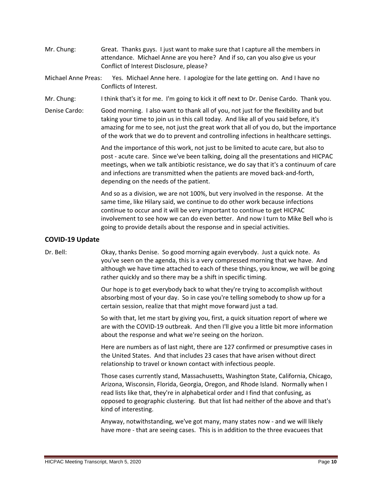- Mr. Chung: Great. Thanks guys. I just want to make sure that I capture all the members in attendance. Michael Anne are you here? And if so, can you also give us your Conflict of Interest Disclosure, please?
- Michael Anne Preas: Yes. Michael Anne here. I apologize for the late getting on. And I have no Conflicts of Interest.
- Mr. Chung: I think that's it for me. I'm going to kick it off next to Dr. Denise Cardo. Thank you.
- Denise Cardo: Good morning. I also want to thank all of you, not just for the flexibility and but taking your time to join us in this call today. And like all of you said before, it's amazing for me to see, not just the great work that all of you do, but the importance of the work that we do to prevent and controlling infections in healthcare settings.

And the importance of this work, not just to be limited to acute care, but also to post - acute care. Since we've been talking, doing all the presentations and HICPAC meetings, when we talk antibiotic resistance, we do say that it's a continuum of care and infections are transmitted when the patients are moved back-and-forth, depending on the needs of the patient.

And so as a division, we are not 100%, but very involved in the response. At the same time, like Hilary said, we continue to do other work because infections continue to occur and it will be very important to continue to get HICPAC involvement to see how we can do even better. And now I turn to Mike Bell who is going to provide details about the response and in special activities.

# <span id="page-9-0"></span>**COVID-19 Update**

Dr. Bell: Okay, thanks Denise. So good morning again everybody. Just a quick note. As you've seen on the agenda, this is a very compressed morning that we have. And although we have time attached to each of these things, you know, we will be going rather quickly and so there may be a shift in specific timing.

> Our hope is to get everybody back to what they're trying to accomplish without absorbing most of your day. So in case you're telling somebody to show up for a certain session, realize that that might move forward just a tad.

So with that, let me start by giving you, first, a quick situation report of where we are with the COVID-19 outbreak. And then I'll give you a little bit more information about the response and what we're seeing on the horizon.

Here are numbers as of last night, there are 127 confirmed or presumptive cases in the United States. And that includes 23 cases that have arisen without direct relationship to travel or known contact with infectious people.

Those cases currently stand, Massachusetts, Washington State, California, Chicago, Arizona, Wisconsin, Florida, Georgia, Oregon, and Rhode Island. Normally when I read lists like that, they're in alphabetical order and I find that confusing, as opposed to geographic clustering. But that list had neither of the above and that's kind of interesting.

Anyway, notwithstanding, we've got many, many states now - and we will likely have more - that are seeing cases. This is in addition to the three evacuees that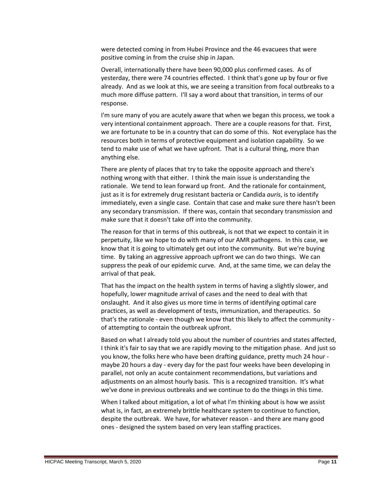were detected coming in from Hubei Province and the 46 evacuees that were positive coming in from the cruise ship in Japan.

Overall, internationally there have been 90,000 plus confirmed cases. As of yesterday, there were 74 countries effected. I think that's gone up by four or five already. And as we look at this, we are seeing a transition from focal outbreaks to a much more diffuse pattern. I'll say a word about that transition, in terms of our response.

I'm sure many of you are acutely aware that when we began this process, we took a very intentional containment approach. There are a couple reasons for that. First, we are fortunate to be in a country that can do some of this. Not everyplace has the resources both in terms of protective equipment and isolation capability. So we tend to make use of what we have upfront. That is a cultural thing, more than anything else.

There are plenty of places that try to take the opposite approach and there's nothing wrong with that either. I think the main issue is understanding the rationale. We tend to lean forward up front. And the rationale for containment, just as it is for extremely drug resistant bacteria or Candida *auris*, is to identify immediately, even a single case. Contain that case and make sure there hasn't been any secondary transmission. If there was, contain that secondary transmission and make sure that it doesn't take off into the community.

The reason for that in terms of this outbreak, is not that we expect to contain it in perpetuity, like we hope to do with many of our AMR pathogens. In this case, we know that it is going to ultimately get out into the community. But we're buying time. By taking an aggressive approach upfront we can do two things. We can suppress the peak of our epidemic curve. And, at the same time, we can delay the arrival of that peak.

That has the impact on the health system in terms of having a slightly slower, and hopefully, lower magnitude arrival of cases and the need to deal with that onslaught. And it also gives us more time in terms of identifying optimal care practices, as well as development of tests, immunization, and therapeutics. So that's the rationale - even though we know that this likely to affect the community of attempting to contain the outbreak upfront.

Based on what I already told you about the number of countries and states affected, I think it's fair to say that we are rapidly moving to the mitigation phase. And just so you know, the folks here who have been drafting guidance, pretty much 24 hour maybe 20 hours a day - every day for the past four weeks have been developing in parallel, not only an acute containment recommendations, but variations and adjustments on an almost hourly basis. This is a recognized transition. It's what we've done in previous outbreaks and we continue to do the things in this time.

When I talked about mitigation, a lot of what I'm thinking about is how we assist what is, in fact, an extremely brittle healthcare system to continue to function, despite the outbreak. We have, for whatever reason - and there are many good ones - designed the system based on very lean staffing practices.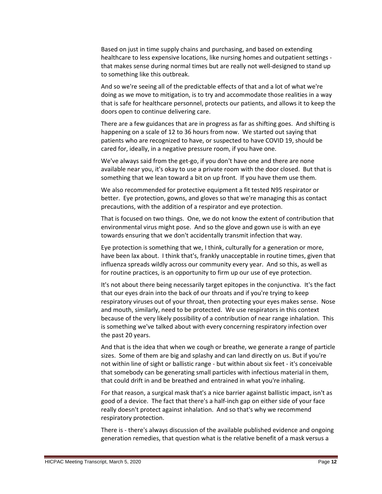Based on just in time supply chains and purchasing, and based on extending healthcare to less expensive locations, like nursing homes and outpatient settings that makes sense during normal times but are really not well-designed to stand up to something like this outbreak.

And so we're seeing all of the predictable effects of that and a lot of what we're doing as we move to mitigation, is to try and accommodate those realities in a way that is safe for healthcare personnel, protects our patients, and allows it to keep the doors open to continue delivering care.

There are a few guidances that are in progress as far as shifting goes. And shifting is happening on a scale of 12 to 36 hours from now. We started out saying that patients who are recognized to have, or suspected to have COVID 19, should be cared for, ideally, in a negative pressure room, if you have one.

We've always said from the get-go, if you don't have one and there are none available near you, it's okay to use a private room with the door closed. But that is something that we lean toward a bit on up front. If you have them use them.

We also recommended for protective equipment a fit tested N95 respirator or better. Eye protection, gowns, and gloves so that we're managing this as contact precautions, with the addition of a respirator and eye protection.

That is focused on two things. One, we do not know the extent of contribution that environmental virus might pose. And so the glove and gown use is with an eye towards ensuring that we don't accidentally transmit infection that way.

Eye protection is something that we, I think, culturally for a generation or more, have been lax about. I think that's, frankly unacceptable in routine times, given that influenza spreads wildly across our community every year. And so this, as well as for routine practices, is an opportunity to firm up our use of eye protection.

It's not about there being necessarily target epitopes in the conjunctiva. It's the fact that our eyes drain into the back of our throats and if you're trying to keep respiratory viruses out of your throat, then protecting your eyes makes sense. Nose and mouth, similarly, need to be protected. We use respirators in this context because of the very likely possibility of a contribution of near range inhalation. This is something we've talked about with every concerning respiratory infection over the past 20 years.

And that is the idea that when we cough or breathe, we generate a range of particle sizes. Some of them are big and splashy and can land directly on us. But if you're not within line of sight or ballistic range - but within about six feet - it's conceivable that somebody can be generating small particles with infectious material in them, that could drift in and be breathed and entrained in what you're inhaling.

For that reason, a surgical mask that's a nice barrier against ballistic impact, isn't as good of a device. The fact that there's a half-inch gap on either side of your face really doesn't protect against inhalation. And so that's why we recommend respiratory protection.

There is - there's always discussion of the available published evidence and ongoing generation remedies, that question what is the relative benefit of a mask versus a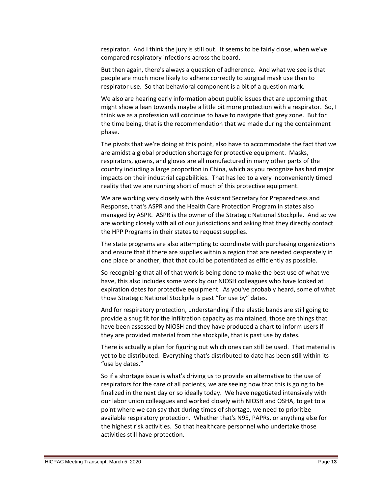respirator. And I think the jury is still out. It seems to be fairly close, when we've compared respiratory infections across the board.

But then again, there's always a question of adherence. And what we see is that people are much more likely to adhere correctly to surgical mask use than to respirator use. So that behavioral component is a bit of a question mark.

We also are hearing early information about public issues that are upcoming that might show a lean towards maybe a little bit more protection with a respirator. So, I think we as a profession will continue to have to navigate that grey zone. But for the time being, that is the recommendation that we made during the containment phase.

The pivots that we're doing at this point, also have to accommodate the fact that we are amidst a global production shortage for protective equipment. Masks, respirators, gowns, and gloves are all manufactured in many other parts of the country including a large proportion in China, which as you recognize has had major impacts on their industrial capabilities. That has led to a very inconveniently timed reality that we are running short of much of this protective equipment.

We are working very closely with the Assistant Secretary for Preparedness and Response, that's ASPR and the Health Care Protection Program in states also managed by ASPR. ASPR is the owner of the Strategic National Stockpile. And so we are working closely with all of our jurisdictions and asking that they directly contact the HPP Programs in their states to request supplies.

The state programs are also attempting to coordinate with purchasing organizations and ensure that if there are supplies within a region that are needed desperately in one place or another, that that could be potentiated as efficiently as possible.

So recognizing that all of that work is being done to make the best use of what we have, this also includes some work by our NIOSH colleagues who have looked at expiration dates for protective equipment. As you've probably heard, some of what those Strategic National Stockpile is past "for use by" dates.

And for respiratory protection, understanding if the elastic bands are still going to provide a snug fit for the infiltration capacity as maintained, those are things that have been assessed by NIOSH and they have produced a chart to inform users if they are provided material from the stockpile, that is past use by dates.

There is actually a plan for figuring out which ones can still be used. That material is yet to be distributed. Everything that's distributed to date has been still within its "use by dates."

So if a shortage issue is what's driving us to provide an alternative to the use of respirators for the care of all patients, we are seeing now that this is going to be finalized in the next day or so ideally today. We have negotiated intensively with our labor union colleagues and worked closely with NIOSH and OSHA, to get to a point where we can say that during times of shortage, we need to prioritize available respiratory protection. Whether that's N95, PAPRs, or anything else for the highest risk activities. So that healthcare personnel who undertake those activities still have protection.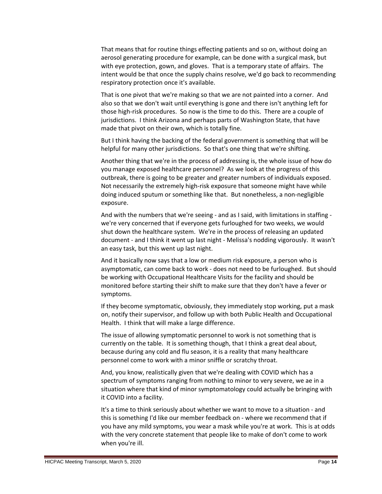That means that for routine things effecting patients and so on, without doing an aerosol generating procedure for example, can be done with a surgical mask, but with eye protection, gown, and gloves. That is a temporary state of affairs. The intent would be that once the supply chains resolve, we'd go back to recommending respiratory protection once it's available.

That is one pivot that we're making so that we are not painted into a corner. And also so that we don't wait until everything is gone and there isn't anything left for those high-risk procedures. So now is the time to do this. There are a couple of jurisdictions. I think Arizona and perhaps parts of Washington State, that have made that pivot on their own, which is totally fine.

But I think having the backing of the federal government is something that will be helpful for many other jurisdictions. So that's one thing that we're shifting.

Another thing that we're in the process of addressing is, the whole issue of how do you manage exposed healthcare personnel? As we look at the progress of this outbreak, there is going to be greater and greater numbers of individuals exposed. Not necessarily the extremely high-risk exposure that someone might have while doing induced sputum or something like that. But nonetheless, a non-negligible exposure.

And with the numbers that we're seeing - and as I said, with limitations in staffing we're very concerned that if everyone gets furloughed for two weeks, we would shut down the healthcare system. We're in the process of releasing an updated document - and I think it went up last night - Melissa's nodding vigorously. It wasn't an easy task, but this went up last night.

And it basically now says that a low or medium risk exposure, a person who is asymptomatic, can come back to work - does not need to be furloughed. But should be working with Occupational Healthcare Visits for the facility and should be monitored before starting their shift to make sure that they don't have a fever or symptoms.

If they become symptomatic, obviously, they immediately stop working, put a mask on, notify their supervisor, and follow up with both Public Health and Occupational Health. I think that will make a large difference.

The issue of allowing symptomatic personnel to work is not something that is currently on the table. It is something though, that I think a great deal about, because during any cold and flu season, it is a reality that many healthcare personnel come to work with a minor sniffle or scratchy throat.

And, you know, realistically given that we're dealing with COVID which has a spectrum of symptoms ranging from nothing to minor to very severe, we ae in a situation where that kind of minor symptomatology could actually be bringing with it COVID into a facility.

It's a time to think seriously about whether we want to move to a situation - and this is something I'd like our member feedback on - where we recommend that if you have any mild symptoms, you wear a mask while you're at work. This is at odds with the very concrete statement that people like to make of don't come to work when you're ill.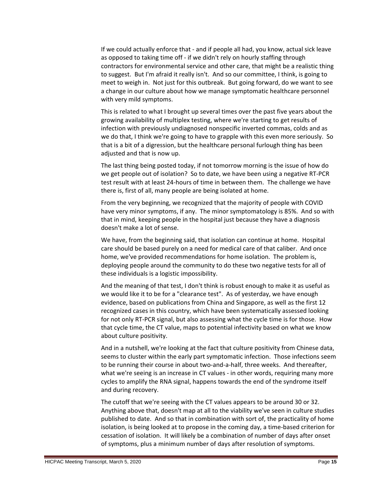If we could actually enforce that - and if people all had, you know, actual sick leave as opposed to taking time off - if we didn't rely on hourly staffing through contractors for environmental service and other care, that might be a realistic thing to suggest. But I'm afraid it really isn't. And so our committee, I think, is going to meet to weigh in. Not just for this outbreak. But going forward, do we want to see a change in our culture about how we manage symptomatic healthcare personnel with very mild symptoms.

This is related to what I brought up several times over the past five years about the growing availability of multiplex testing, where we're starting to get results of infection with previously undiagnosed nonspecific inverted commas, colds and as we do that, I think we're going to have to grapple with this even more seriously. So that is a bit of a digression, but the healthcare personal furlough thing has been adjusted and that is now up.

The last thing being posted today, if not tomorrow morning is the issue of how do we get people out of isolation? So to date, we have been using a negative RT-PCR test result with at least 24-hours of time in between them. The challenge we have there is, first of all, many people are being isolated at home.

From the very beginning, we recognized that the majority of people with COVID have very minor symptoms, if any. The minor symptomatology is 85%. And so with that in mind, keeping people in the hospital just because they have a diagnosis doesn't make a lot of sense.

We have, from the beginning said, that isolation can continue at home. Hospital care should be based purely on a need for medical care of that caliber. And once home, we've provided recommendations for home isolation. The problem is, deploying people around the community to do these two negative tests for all of these individuals is a logistic impossibility.

And the meaning of that test, I don't think is robust enough to make it as useful as we would like it to be for a "clearance test". As of yesterday, we have enough evidence, based on publications from China and Singapore, as well as the first 12 recognized cases in this country, which have been systematically assessed looking for not only RT-PCR signal, but also assessing what the cycle time is for those. How that cycle time, the CT value, maps to potential infectivity based on what we know about culture positivity.

And in a nutshell, we're looking at the fact that culture positivity from Chinese data, seems to cluster within the early part symptomatic infection. Those infections seem to be running their course in about two-and-a-half, three weeks. And thereafter, what we're seeing is an increase in CT values - in other words, requiring many more cycles to amplify the RNA signal, happens towards the end of the syndrome itself and during recovery.

The cutoff that we're seeing with the CT values appears to be around 30 or 32. Anything above that, doesn't map at all to the viability we've seen in culture studies published to date. And so that in combination with sort of, the practicality of home isolation, is being looked at to propose in the coming day, a time-based criterion for cessation of isolation. It will likely be a combination of number of days after onset of symptoms, plus a minimum number of days after resolution of symptoms.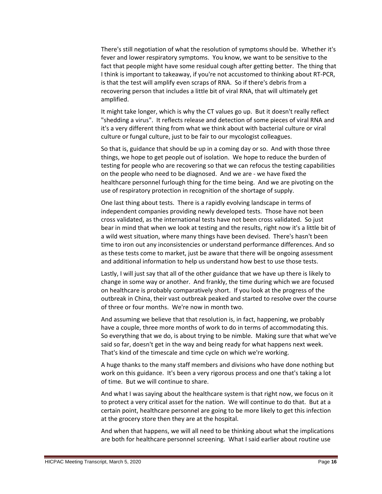There's still negotiation of what the resolution of symptoms should be. Whether it's fever and lower respiratory symptoms. You know, we want to be sensitive to the fact that people might have some residual cough after getting better. The thing that I think is important to takeaway, if you're not accustomed to thinking about RT-PCR, is that the test will amplify even scraps of RNA. So if there's debris from a recovering person that includes a little bit of viral RNA, that will ultimately get amplified.

It might take longer, which is why the CT values go up. But it doesn't really reflect "shedding a virus". It reflects release and detection of some pieces of viral RNA and it's a very different thing from what we think about with bacterial culture or viral culture or fungal culture, just to be fair to our mycologist colleagues.

So that is, guidance that should be up in a coming day or so. And with those three things, we hope to get people out of isolation. We hope to reduce the burden of testing for people who are recovering so that we can refocus the testing capabilities on the people who need to be diagnosed. And we are - we have fixed the healthcare personnel furlough thing for the time being. And we are pivoting on the use of respiratory protection in recognition of the shortage of supply.

One last thing about tests. There is a rapidly evolving landscape in terms of independent companies providing newly developed tests. Those have not been cross validated, as the international tests have not been cross validated. So just bear in mind that when we look at testing and the results, right now it's a little bit of a wild west situation, where many things have been devised. There's hasn't been time to iron out any inconsistencies or understand performance differences. And so as these tests come to market, just be aware that there will be ongoing assessment and additional information to help us understand how best to use those tests.

Lastly, I will just say that all of the other guidance that we have up there is likely to change in some way or another. And frankly, the time during which we are focused on healthcare is probably comparatively short. If you look at the progress of the outbreak in China, their vast outbreak peaked and started to resolve over the course of three or four months. We're now in month two.

And assuming we believe that that resolution is, in fact, happening, we probably have a couple, three more months of work to do in terms of accommodating this. So everything that we do, is about trying to be nimble. Making sure that what we've said so far, doesn't get in the way and being ready for what happens next week. That's kind of the timescale and time cycle on which we're working.

A huge thanks to the many staff members and divisions who have done nothing but work on this guidance. It's been a very rigorous process and one that's taking a lot of time. But we will continue to share.

And what I was saying about the healthcare system is that right now, we focus on it to protect a very critical asset for the nation. We will continue to do that. But at a certain point, healthcare personnel are going to be more likely to get this infection at the grocery store then they are at the hospital.

And when that happens, we will all need to be thinking about what the implications are both for healthcare personnel screening. What I said earlier about routine use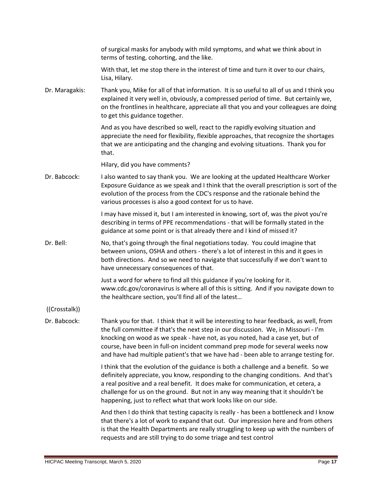|                | of surgical masks for anybody with mild symptoms, and what we think about in<br>terms of testing, cohorting, and the like.                                                                                                                                                                                                                                                                                                               |
|----------------|------------------------------------------------------------------------------------------------------------------------------------------------------------------------------------------------------------------------------------------------------------------------------------------------------------------------------------------------------------------------------------------------------------------------------------------|
|                | With that, let me stop there in the interest of time and turn it over to our chairs,<br>Lisa, Hilary.                                                                                                                                                                                                                                                                                                                                    |
| Dr. Maragakis: | Thank you, Mike for all of that information. It is so useful to all of us and I think you<br>explained it very well in, obviously, a compressed period of time. But certainly we,<br>on the frontlines in healthcare, appreciate all that you and your colleagues are doing<br>to get this guidance together.                                                                                                                            |
|                | And as you have described so well, react to the rapidly evolving situation and<br>appreciate the need for flexibility, flexible approaches, that recognize the shortages<br>that we are anticipating and the changing and evolving situations. Thank you for<br>that.                                                                                                                                                                    |
|                | Hilary, did you have comments?                                                                                                                                                                                                                                                                                                                                                                                                           |
| Dr. Babcock:   | I also wanted to say thank you. We are looking at the updated Healthcare Worker<br>Exposure Guidance as we speak and I think that the overall prescription is sort of the<br>evolution of the process from the CDC's response and the rationale behind the<br>various processes is also a good context for us to have.                                                                                                                   |
|                | I may have missed it, but I am interested in knowing, sort of, was the pivot you're<br>describing in terms of PPE recommendations - that will be formally stated in the<br>guidance at some point or is that already there and I kind of missed it?                                                                                                                                                                                      |
| Dr. Bell:      | No, that's going through the final negotiations today. You could imagine that<br>between unions, OSHA and others - there's a lot of interest in this and it goes in<br>both directions. And so we need to navigate that successfully if we don't want to<br>have unnecessary consequences of that.                                                                                                                                       |
|                | Just a word for where to find all this guidance if you're looking for it.<br>www.cdc.gov/coronavirus is where all of this is sitting. And if you navigate down to<br>the healthcare section, you'll find all of the latest                                                                                                                                                                                                               |
| ((Crosstalk))  |                                                                                                                                                                                                                                                                                                                                                                                                                                          |
| Dr. Babcock:   | Thank you for that. I think that it will be interesting to hear feedback, as well, from<br>the full committee if that's the next step in our discussion. We, in Missouri - I'm<br>knocking on wood as we speak - have not, as you noted, had a case yet, but of<br>course, have been in full-on incident command prep mode for several weeks now<br>and have had multiple patient's that we have had - been able to arrange testing for. |
|                | I think that the evolution of the guidance is both a challenge and a benefit. So we<br>definitely appreciate, you know, responding to the changing conditions. And that's<br>a real positive and a real benefit. It does make for communication, et cetera, a<br>challenge for us on the ground. But not in any way meaning that it shouldn't be<br>happening, just to reflect what that work looks like on our side.                    |
|                | And then I do think that testing capacity is really - has been a bottleneck and I know<br>that there's a lot of work to expand that out. Our impression here and from others<br>is that the Health Departments are really struggling to keep up with the numbers of<br>requests and are still trying to do some triage and test control                                                                                                  |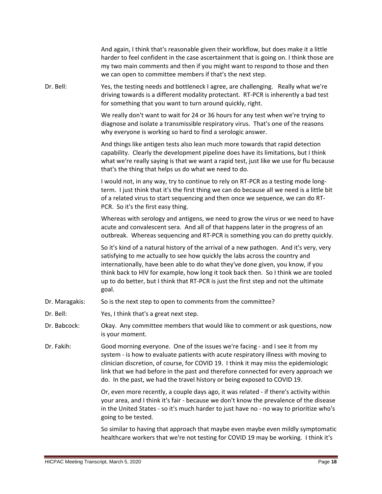|                | And again, I think that's reasonable given their workflow, but does make it a little<br>harder to feel confident in the case ascertainment that is going on. I think those are<br>my two main comments and then if you might want to respond to those and then<br>we can open to committee members if that's the next step.                                                                                                                        |
|----------------|----------------------------------------------------------------------------------------------------------------------------------------------------------------------------------------------------------------------------------------------------------------------------------------------------------------------------------------------------------------------------------------------------------------------------------------------------|
| Dr. Bell:      | Yes, the testing needs and bottleneck I agree, are challenging. Really what we're<br>driving towards is a different modality protectant. RT-PCR is inherently a bad test<br>for something that you want to turn around quickly, right.                                                                                                                                                                                                             |
|                | We really don't want to wait for 24 or 36 hours for any test when we're trying to<br>diagnose and isolate a transmissible respiratory virus. That's one of the reasons<br>why everyone is working so hard to find a serologic answer.                                                                                                                                                                                                              |
|                | And things like antigen tests also lean much more towards that rapid detection<br>capability. Clearly the development pipeline does have its limitations, but I think<br>what we're really saying is that we want a rapid test, just like we use for flu because<br>that's the thing that helps us do what we need to do.                                                                                                                          |
|                | I would not, in any way, try to continue to rely on RT-PCR as a testing mode long-<br>term. I just think that it's the first thing we can do because all we need is a little bit<br>of a related virus to start sequencing and then once we sequence, we can do RT-<br>PCR. So it's the first easy thing.                                                                                                                                          |
|                | Whereas with serology and antigens, we need to grow the virus or we need to have<br>acute and convalescent sera. And all of that happens later in the progress of an<br>outbreak. Whereas sequencing and RT-PCR is something you can do pretty quickly.                                                                                                                                                                                            |
|                | So it's kind of a natural history of the arrival of a new pathogen. And it's very, very<br>satisfying to me actually to see how quickly the labs across the country and<br>internationally, have been able to do what they've done given, you know, if you<br>think back to HIV for example, how long it took back then. So I think we are tooled<br>up to do better, but I think that RT-PCR is just the first step and not the ultimate<br>goal. |
| Dr. Maragakis: | So is the next step to open to comments from the committee?                                                                                                                                                                                                                                                                                                                                                                                        |
| Dr. Bell:      | Yes, I think that's a great next step.                                                                                                                                                                                                                                                                                                                                                                                                             |
| Dr. Babcock:   | Okay. Any committee members that would like to comment or ask questions, now<br>is your moment.                                                                                                                                                                                                                                                                                                                                                    |
| Dr. Fakih:     | Good morning everyone. One of the issues we're facing - and I see it from my<br>system - is how to evaluate patients with acute respiratory illness with moving to<br>clinician discretion, of course, for COVID 19. I think it may miss the epidemiologic<br>link that we had before in the past and therefore connected for every approach we<br>do. In the past, we had the travel history or being exposed to COVID 19.                        |
|                | Or, even more recently, a couple days ago, it was related - if there's activity within<br>your area, and I think it's fair - because we don't know the prevalence of the disease<br>in the United States - so it's much harder to just have no - no way to prioritize who's<br>going to be tested.                                                                                                                                                 |
|                | So similar to having that approach that maybe even maybe even mildly symptomatic<br>healthcare workers that we're not testing for COVID 19 may be working. I think it's                                                                                                                                                                                                                                                                            |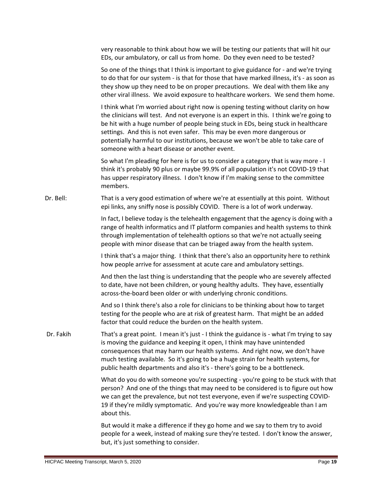very reasonable to think about how we will be testing our patients that will hit our EDs, our ambulatory, or call us from home. Do they even need to be tested?

So one of the things that I think is important to give guidance for - and we're trying to do that for our system - is that for those that have marked illness, it's - as soon as they show up they need to be on proper precautions. We deal with them like any other viral illness. We avoid exposure to healthcare workers. We send them home.

I think what I'm worried about right now is opening testing without clarity on how the clinicians will test. And not everyone is an expert in this. I think we're going to be hit with a huge number of people being stuck in EDs, being stuck in healthcare settings. And this is not even safer. This may be even more dangerous or potentially harmful to our institutions, because we won't be able to take care of someone with a heart disease or another event.

So what I'm pleading for here is for us to consider a category that is way more - I think it's probably 90 plus or maybe 99.9% of all population it's not COVID-19 that has upper respiratory illness. I don't know if I'm making sense to the committee members.

Dr. Bell: That is a very good estimation of where we're at essentially at this point. Without epi links, any sniffy nose is possibly COVID. There is a lot of work underway.

> In fact, I believe today is the telehealth engagement that the agency is doing with a range of health informatics and IT platform companies and health systems to think through implementation of telehealth options so that we're not actually seeing people with minor disease that can be triaged away from the health system.

> I think that's a major thing. I think that there's also an opportunity here to rethink how people arrive for assessment at acute care and ambulatory settings.

> And then the last thing is understanding that the people who are severely affected to date, have not been children, or young healthy adults. They have, essentially across-the-board been older or with underlying chronic conditions.

And so I think there's also a role for clinicians to be thinking about how to target testing for the people who are at risk of greatest harm. That might be an added factor that could reduce the burden on the health system.

Dr. Fakih That's a great point. I mean it's just - I think the guidance is - what I'm trying to say is moving the guidance and keeping it open, I think may have unintended consequences that may harm our health systems. And right now, we don't have much testing available. So it's going to be a huge strain for health systems, for public health departments and also it's - there's going to be a bottleneck.

> What do you do with someone you're suspecting - you're going to be stuck with that person? And one of the things that may need to be considered is to figure out how we can get the prevalence, but not test everyone, even if we're suspecting COVID-19 if they're mildly symptomatic. And you're way more knowledgeable than I am about this.

But would it make a difference if they go home and we say to them try to avoid people for a week, instead of making sure they're tested. I don't know the answer, but, it's just something to consider.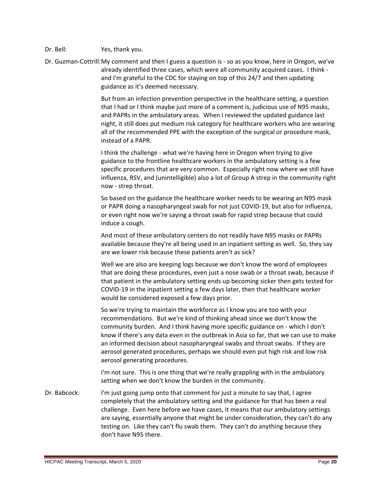# Dr. Bell: Yes, thank you.

Dr. Guzman-Cottrill:My comment and then I guess a question is - so as you know, here in Oregon, we've already identified three cases, which were all community acquired cases. I think and I'm grateful to the CDC for staying on top of this 24/7 and then updating guidance as it's deemed necessary.

> But from an infection prevention perspective in the healthcare setting, a question that I had or I think maybe just more of a comment is, judicious use of N95 masks, and PAPRs in the ambulatory areas. When I reviewed the updated guidance last night, it still does put medium risk category for healthcare workers who are wearing all of the recommended PPE with the exception of the surgical or procedure mask, instead of a PAPR.

> I think the challenge - what we're having here in Oregon when trying to give guidance to the frontline healthcare workers in the ambulatory setting is a few specific procedures that are very common. Especially right now where we still have influenza, RSV, and (unintelligible) also a lot of Group A strep in the community right now - strep throat.

So based on the guidance the healthcare worker needs to be wearing an N95 mask or PAPR doing a nasopharyngeal swab for not just COVID-19, but also for influenza, or even right now we're saying a throat swab for rapid strep because that could induce a cough.

And most of these ambulatory centers do not readily have N95 masks or PAPRs available because they're all being used in an inpatient setting as well. So, they say are we lower risk because these patients aren't as sick?

Well we are also are keeping logs because we don't know the word of employees that are doing these procedures, even just a nose swab or a throat swab, because if that patient in the ambulatory setting ends up becoming sicker then gets tested for COVID-19 in the inpatient setting a few days later, then that healthcare worker would be considered exposed a few days prior.

So we're trying to maintain the workforce as I know you are too with your recommendations. But we're kind of thinking ahead since we don't know the community burden. And I think having more specific guidance on - which I don't know if there's any data even in the outbreak in Asia so far, that we can use to make an informed decision about nasopharyngeal swabs and throat swabs. If they are aerosol generated procedures, perhaps we should even put high risk and low risk aerosol generating procedures.

I'm not sure. This is one thing that we're really grappling with in the ambulatory setting when we don't know the burden in the community.

Dr. Babcock: I'm just going jump onto that comment for just a minute to say that, I agree completely that the ambulatory setting and the guidance for that has been a real challenge. Even here before we have cases, it means that our ambulatory settings are saying, essentially anyone that might be under consideration, they can't do any testing on. Like they can't flu swab them. They can't do anything because they don't have N95 there.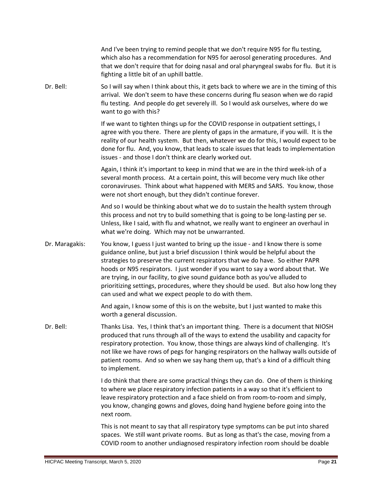And I've been trying to remind people that we don't require N95 for flu testing, which also has a recommendation for N95 for aerosol generating procedures. And that we don't require that for doing nasal and oral pharyngeal swabs for flu. But it is fighting a little bit of an uphill battle.

Dr. Bell: So I will say when I think about this, it gets back to where we are in the timing of this arrival. We don't seem to have these concerns during flu season when we do rapid flu testing. And people do get severely ill. So I would ask ourselves, where do we want to go with this?

> If we want to tighten things up for the COVID response in outpatient settings, I agree with you there. There are plenty of gaps in the armature, if you will. It is the reality of our health system. But then, whatever we do for this, I would expect to be done for flu. And, you know, that leads to scale issues that leads to implementation issues - and those I don't think are clearly worked out.

Again, I think it's important to keep in mind that we are in the third week-ish of a several month process. At a certain point, this will become very much like other coronaviruses. Think about what happened with MERS and SARS. You know, those were not short enough, but they didn't continue forever.

And so I would be thinking about what we do to sustain the health system through this process and not try to build something that is going to be long-lasting per se. Unless, like I said, with flu and whatnot, we really want to engineer an overhaul in what we're doing. Which may not be unwarranted.

Dr. Maragakis: You know, I guess I just wanted to bring up the issue - and I know there is some guidance online, but just a brief discussion I think would be helpful about the strategies to preserve the current respirators that we do have. So either PAPR hoods or N95 respirators. I just wonder if you want to say a word about that. We are trying, in our facility, to give sound guidance both as you've alluded to prioritizing settings, procedures, where they should be used. But also how long they can used and what we expect people to do with them.

> And again, I know some of this is on the website, but I just wanted to make this worth a general discussion.

Dr. Bell: Thanks Lisa. Yes, I think that's an important thing. There is a document that NIOSH produced that runs through all of the ways to extend the usability and capacity for respiratory protection. You know, those things are always kind of challenging. It's not like we have rows of pegs for hanging respirators on the hallway walls outside of patient rooms. And so when we say hang them up, that's a kind of a difficult thing to implement.

> I do think that there are some practical things they can do. One of them is thinking to where we place respiratory infection patients in a way so that it's efficient to leave respiratory protection and a face shield on from room-to-room and simply, you know, changing gowns and gloves, doing hand hygiene before going into the next room.

> This is not meant to say that all respiratory type symptoms can be put into shared spaces. We still want private rooms. But as long as that's the case, moving from a COVID room to another undiagnosed respiratory infection room should be doable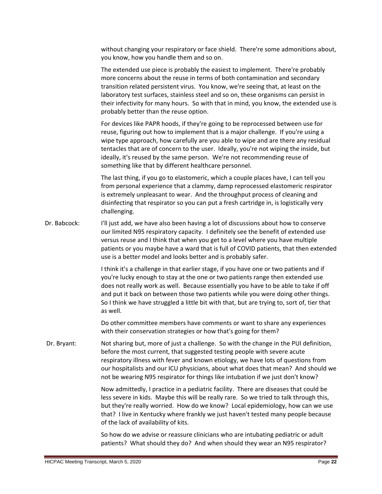without changing your respiratory or face shield. There're some admonitions about, you know, how you handle them and so on.

The extended use piece is probably the easiest to implement. There're probably more concerns about the reuse in terms of both contamination and secondary transition related persistent virus. You know, we're seeing that, at least on the laboratory test surfaces, stainless steel and so on, these organisms can persist in their infectivity for many hours. So with that in mind, you know, the extended use is probably better than the reuse option.

For devices like PAPR hoods, if they're going to be reprocessed between use for reuse, figuring out how to implement that is a major challenge. If you're using a wipe type approach, how carefully are you able to wipe and are there any residual tentacles that are of concern to the user. Ideally, you're not wiping the inside, but ideally, it's reused by the same person. We're not recommending reuse of something like that by different healthcare personnel.

The last thing, if you go to elastomeric, which a couple places have, I can tell you from personal experience that a clammy, damp reprocessed elastomeric respirator is extremely unpleasant to wear. And the throughput process of cleaning and disinfecting that respirator so you can put a fresh cartridge in, is logistically very challenging.

Dr. Babcock: I'll just add, we have also been having a lot of discussions about how to conserve our limited N95 respiratory capacity. I definitely see the benefit of extended use versus reuse and I think that when you get to a level where you have multiple patients or you maybe have a ward that is full of COVID patients, that then extended use is a better model and looks better and is probably safer.

> I think it's a challenge in that earlier stage, if you have one or two patients and if you're lucky enough to stay at the one or two patients range then extended use does not really work as well. Because essentially you have to be able to take if off and put it back on between those two patients while you were doing other things. So I think we have struggled a little bit with that, but are trying to, sort of, tier that as well.

Do other committee members have comments or want to share any experiences with their conservation strategies or how that's going for them?

Dr. Bryant: Not sharing but, more of just a challenge. So with the change in the PUI definition, before the most current, that suggested testing people with severe acute respiratory illness with fever and known etiology, we have lots of questions from our hospitalists and our ICU physicians, about what does that mean? And should we not be wearing N95 respirator for things like intubation if we just don't know?

> Now admittedly, I practice in a pediatric facility. There are diseases that could be less severe in kids. Maybe this will be really rare. So we tried to talk through this, but they're really worried. How do we know? Local epidemiology, how can we use that? I live in Kentucky where frankly we just haven't tested many people because of the lack of availability of kits.

So how do we advise or reassure clinicians who are intubating pediatric or adult patients? What should they do? And when should they wear an N95 respirator?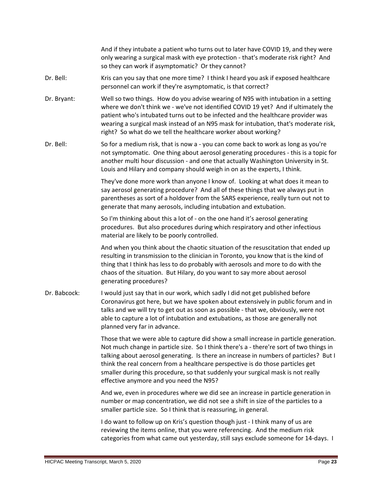And if they intubate a patient who turns out to later have COVID 19, and they were only wearing a surgical mask with eye protection - that's moderate risk right? And so they can work if asymptomatic? Or they cannot?

- Dr. Bell: Kris can you say that one more time? I think I heard you ask if exposed healthcare personnel can work if they're asymptomatic, is that correct?
- Dr. Bryant: Well so two things. How do you advise wearing of N95 with intubation in a setting where we don't think we - we've not identified COVID 19 yet? And if ultimately the patient who's intubated turns out to be infected and the healthcare provider was wearing a surgical mask instead of an N95 mask for intubation, that's moderate risk, right? So what do we tell the healthcare worker about working?
- Dr. Bell: So for a medium risk, that is now a you can come back to work as long as you're not symptomatic. One thing about aerosol generating procedures - this is a topic for another multi hour discussion - and one that actually Washington University in St. Louis and Hilary and company should weigh in on as the experts, I think.

They've done more work than anyone I know of. Looking at what does it mean to say aerosol generating procedure? And all of these things that we always put in parentheses as sort of a holdover from the SARS experience, really turn out not to generate that many aerosols, including intubation and extubation.

So I'm thinking about this a lot of - on the one hand it's aerosol generating procedures. But also procedures during which respiratory and other infectious material are likely to be poorly controlled.

And when you think about the chaotic situation of the resuscitation that ended up resulting in transmission to the clinician in Toronto, you know that is the kind of thing that I think has less to do probably with aerosols and more to do with the chaos of the situation. But Hilary, do you want to say more about aerosol generating procedures?

Dr. Babcock: I would just say that in our work, which sadly I did not get published before Coronavirus got here, but we have spoken about extensively in public forum and in talks and we will try to get out as soon as possible - that we, obviously, were not able to capture a lot of intubation and extubations, as those are generally not planned very far in advance.

> Those that we were able to capture did show a small increase in particle generation. Not much change in particle size. So I think there's a - there're sort of two things in talking about aerosol generating. Is there an increase in numbers of particles? But I think the real concern from a healthcare perspective is do those particles get smaller during this procedure, so that suddenly your surgical mask is not really effective anymore and you need the N95?

And we, even in procedures where we did see an increase in particle generation in number or map concentration, we did not see a shift in size of the particles to a smaller particle size. So I think that is reassuring, in general.

I do want to follow up on Kris's question though just - I think many of us are reviewing the items online, that you were referencing. And the medium risk categories from what came out yesterday, still says exclude someone for 14-days. I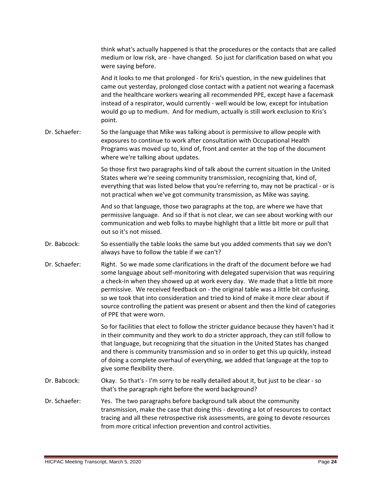|               | think what's actually happened is that the procedures or the contacts that are called<br>medium or low risk, are - have changed. So just for clarification based on what you<br>were saying before.                                                                                                                                                                                                                                                                                                                                                        |
|---------------|------------------------------------------------------------------------------------------------------------------------------------------------------------------------------------------------------------------------------------------------------------------------------------------------------------------------------------------------------------------------------------------------------------------------------------------------------------------------------------------------------------------------------------------------------------|
|               | And it looks to me that prolonged - for Kris's question, in the new guidelines that<br>came out yesterday, prolonged close contact with a patient not wearing a facemask<br>and the healthcare workers wearing all recommended PPE, except have a facemask<br>instead of a respirator, would currently - well would be low, except for intubation<br>would go up to medium. And for medium, actually is still work exclusion to Kris's<br>point.                                                                                                           |
| Dr. Schaefer: | So the language that Mike was talking about is permissive to allow people with<br>exposures to continue to work after consultation with Occupational Health<br>Programs was moved up to, kind of, front and center at the top of the document<br>where we're talking about updates.                                                                                                                                                                                                                                                                        |
|               | So those first two paragraphs kind of talk about the current situation in the United<br>States where we're seeing community transmission, recognizing that, kind of,<br>everything that was listed below that you're referring to, may not be practical - or is<br>not practical when we've got community transmission, as Mike was saying.                                                                                                                                                                                                                |
|               | And so that language, those two paragraphs at the top, are where we have that<br>permissive language. And so if that is not clear, we can see about working with our<br>communication and web folks to maybe highlight that a little bit more or pull that<br>out so it's not missed.                                                                                                                                                                                                                                                                      |
| Dr. Babcock:  | So essentially the table looks the same but you added comments that say we don't<br>always have to follow the table if we can't?                                                                                                                                                                                                                                                                                                                                                                                                                           |
| Dr. Schaefer: | Right. So we made some clarifications in the draft of the document before we had<br>some language about self-monitoring with delegated supervision that was requiring<br>a check-in when they showed up at work every day. We made that a little bit more<br>permissive. We received feedback on - the original table was a little bit confusing,<br>so we took that into consideration and tried to kind of make it more clear about if<br>source controlling the patient was present or absent and then the kind of categories<br>of PPE that were worn. |
|               | So for facilities that elect to follow the stricter guidance because they haven't had it<br>in their community and they work to do a stricter approach, they can still follow to<br>that language, but recognizing that the situation in the United States has changed<br>and there is community transmission and so in order to get this up quickly, instead<br>of doing a complete overhaul of everything, we added that language at the top to<br>give some flexibility there.                                                                          |
| Dr. Babcock:  | Okay. So that's - I'm sorry to be really detailed about it, but just to be clear - so<br>that's the paragraph right before the word background?                                                                                                                                                                                                                                                                                                                                                                                                            |
| Dr. Schaefer: | Yes. The two paragraphs before background talk about the community<br>transmission, make the case that doing this - devoting a lot of resources to contact<br>tracing and all these retrospective risk assessments, are going to devote resources<br>from more critical infection prevention and control activities.                                                                                                                                                                                                                                       |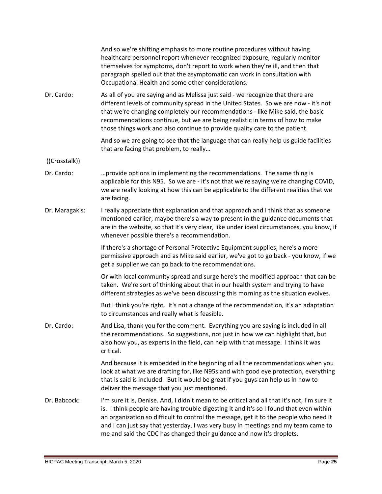|                | And so we're shifting emphasis to more routine procedures without having<br>healthcare personnel report whenever recognized exposure, regularly monitor<br>themselves for symptoms, don't report to work when they're ill, and then that<br>paragraph spelled out that the asymptomatic can work in consultation with<br>Occupational Health and some other considerations.                                                                     |
|----------------|-------------------------------------------------------------------------------------------------------------------------------------------------------------------------------------------------------------------------------------------------------------------------------------------------------------------------------------------------------------------------------------------------------------------------------------------------|
| Dr. Cardo:     | As all of you are saying and as Melissa just said - we recognize that there are<br>different levels of community spread in the United States. So we are now - it's not<br>that we're changing completely our recommendations - like Mike said, the basic<br>recommendations continue, but we are being realistic in terms of how to make<br>those things work and also continue to provide quality care to the patient.                         |
|                | And so we are going to see that the language that can really help us guide facilities<br>that are facing that problem, to really                                                                                                                                                                                                                                                                                                                |
| ((Crosstalk))  |                                                                                                                                                                                                                                                                                                                                                                                                                                                 |
| Dr. Cardo:     | provide options in implementing the recommendations. The same thing is<br>applicable for this N95. So we are - it's not that we're saying we're changing COVID,<br>we are really looking at how this can be applicable to the different realities that we<br>are facing.                                                                                                                                                                        |
| Dr. Maragakis: | I really appreciate that explanation and that approach and I think that as someone<br>mentioned earlier, maybe there's a way to present in the guidance documents that<br>are in the website, so that it's very clear, like under ideal circumstances, you know, if<br>whenever possible there's a recommendation.                                                                                                                              |
|                | If there's a shortage of Personal Protective Equipment supplies, here's a more<br>permissive approach and as Mike said earlier, we've got to go back - you know, if we<br>get a supplier we can go back to the recommendations.                                                                                                                                                                                                                 |
|                | Or with local community spread and surge here's the modified approach that can be<br>taken. We're sort of thinking about that in our health system and trying to have<br>different strategies as we've been discussing this morning as the situation evolves.                                                                                                                                                                                   |
|                | But I think you're right. It's not a change of the recommendation, it's an adaptation<br>to circumstances and really what is feasible.                                                                                                                                                                                                                                                                                                          |
| Dr. Cardo:     | And Lisa, thank you for the comment. Everything you are saying is included in all<br>the recommendations. So suggestions, not just in how we can highlight that, but<br>also how you, as experts in the field, can help with that message. I think it was<br>critical.                                                                                                                                                                          |
|                | And because it is embedded in the beginning of all the recommendations when you<br>look at what we are drafting for, like N95s and with good eye protection, everything<br>that is said is included. But it would be great if you guys can help us in how to<br>deliver the message that you just mentioned.                                                                                                                                    |
| Dr. Babcock:   | I'm sure it is, Denise. And, I didn't mean to be critical and all that it's not, I'm sure it<br>is. I think people are having trouble digesting it and it's so I found that even within<br>an organization so difficult to control the message, get it to the people who need it<br>and I can just say that yesterday, I was very busy in meetings and my team came to<br>me and said the CDC has changed their guidance and now it's droplets. |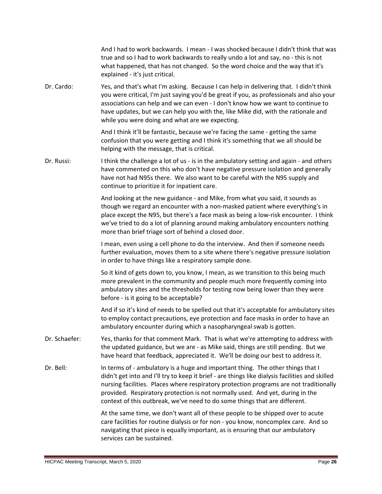|               | And I had to work backwards. I mean - I was shocked because I didn't think that was<br>true and so I had to work backwards to really undo a lot and say, no - this is not<br>what happened, that has not changed. So the word choice and the way that it's<br>explained - it's just critical.                                                                                                                                               |
|---------------|---------------------------------------------------------------------------------------------------------------------------------------------------------------------------------------------------------------------------------------------------------------------------------------------------------------------------------------------------------------------------------------------------------------------------------------------|
| Dr. Cardo:    | Yes, and that's what I'm asking. Because I can help in delivering that. I didn't think<br>you were critical, I'm just saying you'd be great if you, as professionals and also your<br>associations can help and we can even - I don't know how we want to continue to<br>have updates, but we can help you with the, like Mike did, with the rationale and<br>while you were doing and what are we expecting.                               |
|               | And I think it'll be fantastic, because we're facing the same - getting the same<br>confusion that you were getting and I think it's something that we all should be<br>helping with the message, that is critical.                                                                                                                                                                                                                         |
| Dr. Russi:    | I think the challenge a lot of us - is in the ambulatory setting and again - and others<br>have commented on this who don't have negative pressure isolation and generally<br>have not had N95s there. We also want to be careful with the N95 supply and<br>continue to prioritize it for inpatient care.                                                                                                                                  |
|               | And looking at the new guidance - and Mike, from what you said, it sounds as<br>though we regard an encounter with a non-masked patient where everything's in<br>place except the N95, but there's a face mask as being a low-risk encounter. I think<br>we've tried to do a lot of planning around making ambulatory encounters nothing<br>more than brief triage sort of behind a closed door.                                            |
|               | I mean, even using a cell phone to do the interview. And then if someone needs<br>further evaluation, moves them to a site where there's negative pressure isolation<br>in order to have things like a respiratory sample done.                                                                                                                                                                                                             |
|               | So it kind of gets down to, you know, I mean, as we transition to this being much<br>more prevalent in the community and people much more frequently coming into<br>ambulatory sites and the thresholds for testing now being lower than they were<br>before - is it going to be acceptable?                                                                                                                                                |
|               | And if so it's kind of needs to be spelled out that it's acceptable for ambulatory sites<br>to employ contact precautions, eye protection and face masks in order to have an<br>ambulatory encounter during which a nasopharyngeal swab is gotten.                                                                                                                                                                                          |
| Dr. Schaefer: | Yes, thanks for that comment Mark. That is what we're attempting to address with<br>the updated guidance, but we are - as Mike said, things are still pending. But we<br>have heard that feedback, appreciated it. We'll be doing our best to address it.                                                                                                                                                                                   |
| Dr. Bell:     | In terms of - ambulatory is a huge and important thing. The other things that I<br>didn't get into and I'll try to keep it brief - are things like dialysis facilities and skilled<br>nursing facilities. Places where respiratory protection programs are not traditionally<br>provided. Respiratory protection is not normally used. And yet, during in the<br>context of this outbreak, we've need to do some things that are different. |
|               | At the same time, we don't want all of these people to be shipped over to acute<br>care facilities for routine dialysis or for non - you know, noncomplex care. And so<br>navigating that piece is equally important, as is ensuring that our ambulatory<br>services can be sustained.                                                                                                                                                      |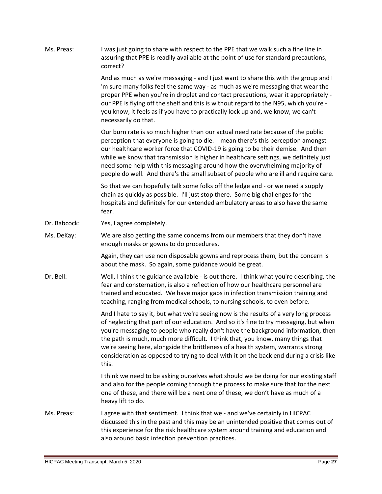| Ms. Preas:   | I was just going to share with respect to the PPE that we walk such a fine line in<br>assuring that PPE is readily available at the point of use for standard precautions,<br>correct?                                                                                                                                                                                                                                                                                                                                                         |
|--------------|------------------------------------------------------------------------------------------------------------------------------------------------------------------------------------------------------------------------------------------------------------------------------------------------------------------------------------------------------------------------------------------------------------------------------------------------------------------------------------------------------------------------------------------------|
|              | And as much as we're messaging - and I just want to share this with the group and I<br>'m sure many folks feel the same way - as much as we're messaging that wear the<br>proper PPE when you're in droplet and contact precautions, wear it appropriately -<br>our PPE is flying off the shelf and this is without regard to the N95, which you're -<br>you know, it feels as if you have to practically lock up and, we know, we can't<br>necessarily do that.                                                                               |
|              | Our burn rate is so much higher than our actual need rate because of the public<br>perception that everyone is going to die. I mean there's this perception amongst<br>our healthcare worker force that COVID-19 is going to be their demise. And then<br>while we know that transmission is higher in healthcare settings, we definitely just<br>need some help with this messaging around how the overwhelming majority of<br>people do well. And there's the small subset of people who are ill and require care.                           |
|              | So that we can hopefully talk some folks off the ledge and - or we need a supply<br>chain as quickly as possible. I'll just stop there. Some big challenges for the<br>hospitals and definitely for our extended ambulatory areas to also have the same<br>fear.                                                                                                                                                                                                                                                                               |
| Dr. Babcock: | Yes, I agree completely.                                                                                                                                                                                                                                                                                                                                                                                                                                                                                                                       |
| Ms. DeKay:   | We are also getting the same concerns from our members that they don't have<br>enough masks or gowns to do procedures.                                                                                                                                                                                                                                                                                                                                                                                                                         |
|              | Again, they can use non disposable gowns and reprocess them, but the concern is<br>about the mask. So again, some guidance would be great.                                                                                                                                                                                                                                                                                                                                                                                                     |
| Dr. Bell:    | Well, I think the guidance available - is out there. I think what you're describing, the<br>fear and consternation, is also a reflection of how our healthcare personnel are<br>trained and educated. We have major gaps in infection transmission training and<br>teaching, ranging from medical schools, to nursing schools, to even before.                                                                                                                                                                                                 |
|              | And I hate to say it, but what we're seeing now is the results of a very long process<br>of neglecting that part of our education. And so it's fine to try messaging, but when<br>you're messaging to people who really don't have the background information, then<br>the path is much, much more difficult. I think that, you know, many things that<br>we're seeing here, alongside the brittleness of a health system, warrants strong<br>consideration as opposed to trying to deal with it on the back end during a crisis like<br>this. |
|              | I think we need to be asking ourselves what should we be doing for our existing staff<br>and also for the people coming through the process to make sure that for the next<br>one of these, and there will be a next one of these, we don't have as much of a<br>heavy lift to do.                                                                                                                                                                                                                                                             |
| Ms. Preas:   | I agree with that sentiment. I think that we - and we've certainly in HICPAC<br>discussed this in the past and this may be an unintended positive that comes out of<br>this experience for the risk healthcare system around training and education and<br>also around basic infection prevention practices.                                                                                                                                                                                                                                   |
|              |                                                                                                                                                                                                                                                                                                                                                                                                                                                                                                                                                |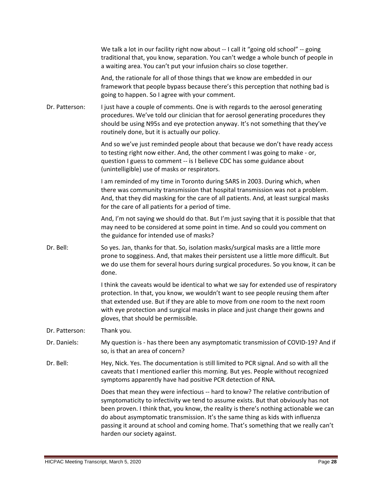|                | We talk a lot in our facility right now about -- I call it "going old school" -- going<br>traditional that, you know, separation. You can't wedge a whole bunch of people in<br>a waiting area. You can't put your infusion chairs so close together.                                                                                                                                                                                                                   |
|----------------|-------------------------------------------------------------------------------------------------------------------------------------------------------------------------------------------------------------------------------------------------------------------------------------------------------------------------------------------------------------------------------------------------------------------------------------------------------------------------|
|                | And, the rationale for all of those things that we know are embedded in our<br>framework that people bypass because there's this perception that nothing bad is<br>going to happen. So I agree with your comment.                                                                                                                                                                                                                                                       |
| Dr. Patterson: | I just have a couple of comments. One is with regards to the aerosol generating<br>procedures. We've told our clinician that for aerosol generating procedures they<br>should be using N95s and eye protection anyway. It's not something that they've<br>routinely done, but it is actually our policy.                                                                                                                                                                |
|                | And so we've just reminded people about that because we don't have ready access<br>to testing right now either. And, the other comment I was going to make - or,<br>question I guess to comment -- is I believe CDC has some guidance about<br>(unintelligible) use of masks or respirators.                                                                                                                                                                            |
|                | I am reminded of my time in Toronto during SARS in 2003. During which, when<br>there was community transmission that hospital transmission was not a problem.<br>And, that they did masking for the care of all patients. And, at least surgical masks<br>for the care of all patients for a period of time.                                                                                                                                                            |
|                | And, I'm not saying we should do that. But I'm just saying that it is possible that that<br>may need to be considered at some point in time. And so could you comment on<br>the guidance for intended use of masks?                                                                                                                                                                                                                                                     |
| Dr. Bell:      | So yes. Jan, thanks for that. So, isolation masks/surgical masks are a little more<br>prone to sogginess. And, that makes their persistent use a little more difficult. But<br>we do use them for several hours during surgical procedures. So you know, it can be<br>done.                                                                                                                                                                                             |
|                | I think the caveats would be identical to what we say for extended use of respiratory<br>protection. In that, you know, we wouldn't want to see people reusing them after<br>that extended use. But if they are able to move from one room to the next room<br>with eye protection and surgical masks in place and just change their gowns and<br>gloves, that should be permissible.                                                                                   |
| Dr. Patterson: | Thank you.                                                                                                                                                                                                                                                                                                                                                                                                                                                              |
| Dr. Daniels:   | My question is - has there been any asymptomatic transmission of COVID-19? And if<br>so, is that an area of concern?                                                                                                                                                                                                                                                                                                                                                    |
| Dr. Bell:      | Hey, Nick. Yes. The documentation is still limited to PCR signal. And so with all the<br>caveats that I mentioned earlier this morning. But yes. People without recognized<br>symptoms apparently have had positive PCR detection of RNA.                                                                                                                                                                                                                               |
|                | Does that mean they were infectious -- hard to know? The relative contribution of<br>symptomaticity to infectivity we tend to assume exists. But that obviously has not<br>been proven. I think that, you know, the reality is there's nothing actionable we can<br>do about asymptomatic transmission. It's the same thing as kids with influenza<br>passing it around at school and coming home. That's something that we really can't<br>harden our society against. |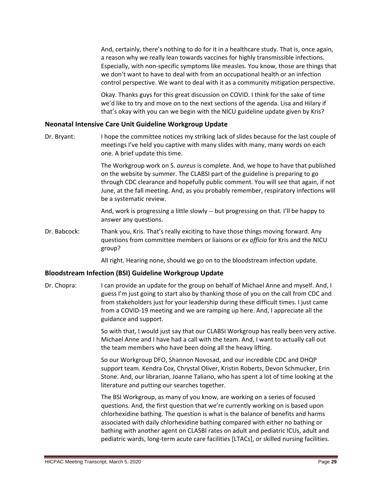And, certainly, there's nothing to do for it in a healthcare study. That is, once again, a reason why we really lean towards vaccines for highly transmissible infections. Especially, with non-specific symptoms like measles. You know, those are things that we don't want to have to deal with from an occupational health or an infection control perspective. We want to deal with it as a community mitigation perspective.

Okay. Thanks guys for this great discussion on COVID. I think for the sake of time we'd like to try and move on to the next sections of the agenda. Lisa and Hilary if that's okay with you can we begin with the NICU guideline update given by Kris?

# <span id="page-28-0"></span>**Neonatal Intensive Care Unit Guideline Workgroup Update**

Dr. Bryant: I hope the committee notices my striking lack of slides because for the last couple of meetings I've held you captive with many slides with many, many words on each one. A brief update this time.

> The Workgroup work on S. *aureus* is complete. And, we hope to have that published on the website by summer. The CLABSI part of the guideline is preparing to go through CDC clearance and hopefully public comment. You will see that again, if not June, at the fall meeting. And, as you probably remember, respiratory infections will be a systematic review.

And, work is progressing a little slowly -- but progressing on that. I'll be happy to answer any questions.

Dr. Babcock: Thank you, Kris. That's really exciting to have those things moving forward. Any questions from committee members or liaisons or *ex officio* for Kris and the NICU group?

All right. Hearing none, should we go on to the bloodstream infection update.

# <span id="page-28-1"></span>**Bloodstream Infection (BSI) Guideline Workgroup Update**

Dr. Chopra: I can provide an update for the group on behalf of Michael Anne and myself. And, I guess I'm just going to start also by thanking those of you on the call from CDC and from stakeholders just for your leadership during these difficult times. I just came from a COVID-19 meeting and we are ramping up here. And, I appreciate all the guidance and support.

> So with that, I would just say that our CLABSI Workgroup has really been very active. Michael Anne and I have had a call with the team. And, I want to actually call out the team members who have been doing all the heavy lifting.

> So our Workgroup DFO, Shannon Novosad, and our incredible CDC and DHQP support team. Kendra Cox, Chrystal Oliver, Kristin Roberts, Devon Schmucker, Erin Stone. And, our librarian, Joanne Taliano, who has spent a lot of time looking at the literature and putting our searches together.

The BSI Workgroup, as many of you know, are working on a series of focused questions. And, the first question that we're currently working on is based upon chlorhexidine bathing. The question is what is the balance of benefits and harms associated with daily chlorhexidine bathing compared with either no bathing or bathing with another agent on CLASBI rates on adult and pediatric ICUs, adult and pediatric wards, long-term acute care facilities [LTACs], or skilled nursing facilities.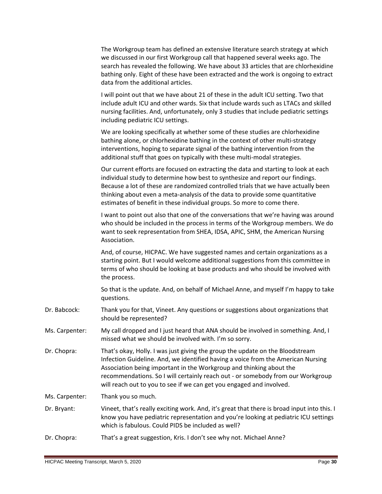|                | The Workgroup team has defined an extensive literature search strategy at which<br>we discussed in our first Workgroup call that happened several weeks ago. The<br>search has revealed the following. We have about 33 articles that are chlorhexidine<br>bathing only. Eight of these have been extracted and the work is ongoing to extract<br>data from the additional articles.                                  |
|----------------|-----------------------------------------------------------------------------------------------------------------------------------------------------------------------------------------------------------------------------------------------------------------------------------------------------------------------------------------------------------------------------------------------------------------------|
|                | I will point out that we have about 21 of these in the adult ICU setting. Two that<br>include adult ICU and other wards. Six that include wards such as LTACs and skilled<br>nursing facilities. And, unfortunately, only 3 studies that include pediatric settings<br>including pediatric ICU settings.                                                                                                              |
|                | We are looking specifically at whether some of these studies are chlorhexidine<br>bathing alone, or chlorhexidine bathing in the context of other multi-strategy<br>interventions, hoping to separate signal of the bathing intervention from the<br>additional stuff that goes on typically with these multi-modal strategies.                                                                                       |
|                | Our current efforts are focused on extracting the data and starting to look at each<br>individual study to determine how best to synthesize and report our findings.<br>Because a lot of these are randomized controlled trials that we have actually been<br>thinking about even a meta-analysis of the data to provide some quantitative<br>estimates of benefit in these individual groups. So more to come there. |
|                | I want to point out also that one of the conversations that we're having was around<br>who should be included in the process in terms of the Workgroup members. We do<br>want to seek representation from SHEA, IDSA, APIC, SHM, the American Nursing<br>Association.                                                                                                                                                 |
|                | And, of course, HICPAC. We have suggested names and certain organizations as a<br>starting point. But I would welcome additional suggestions from this committee in<br>terms of who should be looking at base products and who should be involved with<br>the process.                                                                                                                                                |
|                | So that is the update. And, on behalf of Michael Anne, and myself I'm happy to take<br>questions.                                                                                                                                                                                                                                                                                                                     |
| Dr. Babcock:   | Thank you for that, Vineet. Any questions or suggestions about organizations that<br>should be represented?                                                                                                                                                                                                                                                                                                           |
| Ms. Carpenter: | My call dropped and I just heard that ANA should be involved in something. And, I<br>missed what we should be involved with. I'm so sorry.                                                                                                                                                                                                                                                                            |
| Dr. Chopra:    | That's okay, Holly. I was just giving the group the update on the Bloodstream<br>Infection Guideline. And, we identified having a voice from the American Nursing<br>Association being important in the Workgroup and thinking about the<br>recommendations. So I will certainly reach out - or somebody from our Workgroup<br>will reach out to you to see if we can get you engaged and involved.                   |
| Ms. Carpenter: | Thank you so much.                                                                                                                                                                                                                                                                                                                                                                                                    |
| Dr. Bryant:    | Vineet, that's really exciting work. And, it's great that there is broad input into this. I<br>know you have pediatric representation and you're looking at pediatric ICU settings<br>which is fabulous. Could PIDS be included as well?                                                                                                                                                                              |
| Dr. Chopra:    | That's a great suggestion, Kris. I don't see why not. Michael Anne?                                                                                                                                                                                                                                                                                                                                                   |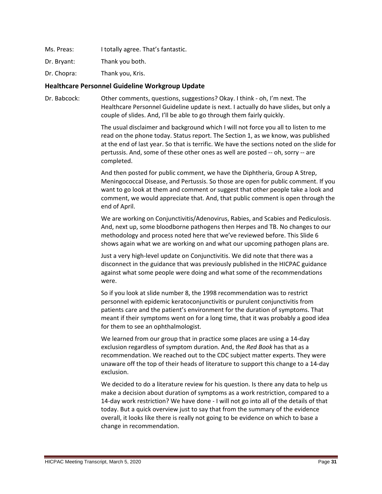Ms. Preas: I totally agree. That's fantastic.

Dr. Bryant: Thank you both.

Dr. Chopra: Thank you, Kris.

#### <span id="page-30-0"></span>**Healthcare Personnel Guideline Workgroup Update**

Dr. Babcock: Other comments, questions, suggestions? Okay. I think - oh, I'm next. The Healthcare Personnel Guideline update is next. I actually do have slides, but only a couple of slides. And, I'll be able to go through them fairly quickly.

> The usual disclaimer and background which I will not force you all to listen to me read on the phone today. Status report. The Section 1, as we know, was published at the end of last year. So that is terrific. We have the sections noted on the slide for pertussis. And, some of these other ones as well are posted -- oh, sorry -- are completed.

> And then posted for public comment, we have the Diphtheria, Group A Strep, Meningococcal Disease, and Pertussis. So those are open for public comment. If you want to go look at them and comment or suggest that other people take a look and comment, we would appreciate that. And, that public comment is open through the end of April.

We are working on Conjunctivitis/Adenovirus, Rabies, and Scabies and Pediculosis. And, next up, some bloodborne pathogens then Herpes and TB. No changes to our methodology and process noted here that we've reviewed before. This Slide 6 shows again what we are working on and what our upcoming pathogen plans are.

Just a very high-level update on Conjunctivitis. We did note that there was a disconnect in the guidance that was previously published in the HICPAC guidance against what some people were doing and what some of the recommendations were.

So if you look at slide number 8, the 1998 recommendation was to restrict personnel with epidemic keratoconjunctivitis or purulent conjunctivitis from patients care and the patient's environment for the duration of symptoms. That meant if their symptoms went on for a long time, that it was probably a good idea for them to see an ophthalmologist.

We learned from our group that in practice some places are using a 14-day exclusion regardless of symptom duration. And, the *Red Book* has that as a recommendation. We reached out to the CDC subject matter experts. They were unaware off the top of their heads of literature to support this change to a 14-day exclusion.

We decided to do a literature review for his question. Is there any data to help us make a decision about duration of symptoms as a work restriction, compared to a 14-day work restriction? We have done - I will not go into all of the details of that today. But a quick overview just to say that from the summary of the evidence overall, it looks like there is really not going to be evidence on which to base a change in recommendation.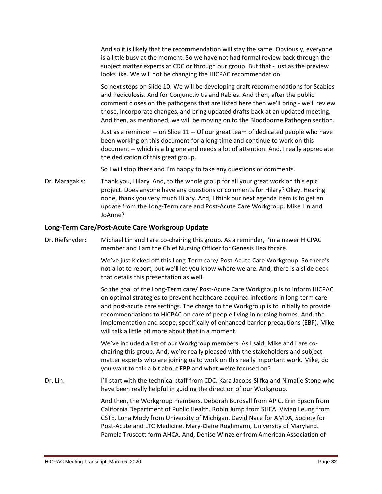And so it is likely that the recommendation will stay the same. Obviously, everyone is a little busy at the moment. So we have not had formal review back through the subject matter experts at CDC or through our group. But that - just as the preview looks like. We will not be changing the HICPAC recommendation.

So next steps on Slide 10. We will be developing draft recommendations for Scabies and Pediculosis. And for Conjunctivitis and Rabies. And then, after the public comment closes on the pathogens that are listed here then we'll bring - we'll review those, incorporate changes, and bring updated drafts back at an updated meeting. And then, as mentioned, we will be moving on to the Bloodborne Pathogen section.

Just as a reminder -- on Slide 11 -- Of our great team of dedicated people who have been working on this document for a long time and continue to work on this document -- which is a big one and needs a lot of attention. And, I really appreciate the dedication of this great group.

So I will stop there and I'm happy to take any questions or comments.

Dr. Maragakis: Thank you, Hilary. And, to the whole group for all your great work on this epic project. Does anyone have any questions or comments for Hilary? Okay. Hearing none, thank you very much Hilary. And, I think our next agenda item is to get an update from the Long-Term care and Post-Acute Care Workgroup. Mike Lin and JoAnne?

# <span id="page-31-0"></span>**Long-Term Care/Post-Acute Care Workgroup Update**

Dr. Riefsnyder: Michael Lin and I are co-chairing this group. As a reminder, I'm a newer HICPAC member and I am the Chief Nursing Officer for Genesis Healthcare.

> We've just kicked off this Long-Term care/ Post-Acute Care Workgroup. So there's not a lot to report, but we'll let you know where we are. And, there is a slide deck that details this presentation as well.

So the goal of the Long-Term care/ Post-Acute Care Workgroup is to inform HICPAC on optimal strategies to prevent healthcare-acquired infections in long-term care and post-acute care settings. The charge to the Workgroup is to initially to provide recommendations to HICPAC on care of people living in nursing homes. And, the implementation and scope, specifically of enhanced barrier precautions (EBP). Mike will talk a little bit more about that in a moment.

We've included a list of our Workgroup members. As I said, Mike and I are cochairing this group. And, we're really pleased with the stakeholders and subject matter experts who are joining us to work on this really important work. Mike, do you want to talk a bit about EBP and what we're focused on?

Dr. Lin: I'll start with the technical staff from CDC. Kara Jacobs-Slifka and Nimalie Stone who have been really helpful in guiding the direction of our Workgroup.

> And then, the Workgroup members. Deborah Burdsall from APIC. Erin Epson from California Department of Public Health. Robin Jump from SHEA. Vivian Leung from CSTE. Lona Mody from University of Michigan. David Nace for AMDA, Society for Post-Acute and LTC Medicine. Mary-Claire Roghmann, University of Maryland. Pamela Truscott form AHCA. And, Denise Winzeler from American Association of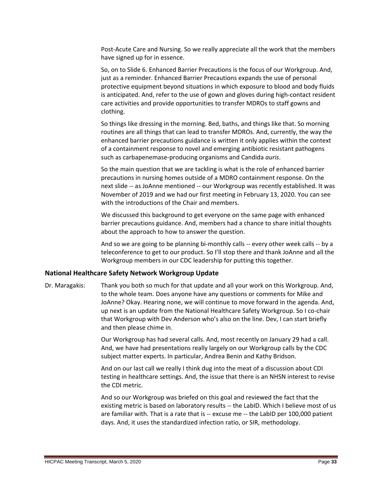Post-Acute Care and Nursing. So we really appreciate all the work that the members have signed up for in essence.

So, on to Slide 6. Enhanced Barrier Precautions is the focus of our Workgroup. And, just as a reminder. Enhanced Barrier Precautions expands the use of personal protective equipment beyond situations in which exposure to blood and body fluids is anticipated. And, refer to the use of gown and gloves during high-contact resident care activities and provide opportunities to transfer MDROs to staff gowns and clothing.

So things like dressing in the morning. Bed, baths, and things like that. So morning routines are all things that can lead to transfer MDROs. And, currently, the way the enhanced barrier precautions guidance is written it only applies within the context of a containment response to novel and emerging antibiotic resistant pathogens such as carbapenemase-producing organisms and Candida *auris*.

So the main question that we are tackling is what is the role of enhanced barrier precautions in nursing homes outside of a MDRO containment response. On the next slide -- as JoAnne mentioned -- our Workgroup was recently established. It was November of 2019 and we had our first meeting in February 13, 2020. You can see with the introductions of the Chair and members.

We discussed this background to get everyone on the same page with enhanced barrier precautions guidance. And, members had a chance to share initial thoughts about the approach to how to answer the question.

And so we are going to be planning bi-monthly calls -- every other week calls -- by a teleconference to get to our product. So I'll stop there and thank JoAnne and all the Workgroup members in our CDC leadership for putting this together.

# <span id="page-32-0"></span>**National Healthcare Safety Network Workgroup Update**

Dr. Maragakis: Thank you both so much for that update and all your work on this Workgroup. And, to the whole team. Does anyone have any questions or comments for Mike and JoAnne? Okay. Hearing none, we will continue to move forward in the agenda. And, up next is an update from the National Healthcare Safety Workgroup. So I co-chair that Workgroup with Dev Anderson who's also on the line. Dev, I can start briefly and then please chime in.

> Our Workgroup has had several calls. And, most recently on January 29 had a call. And, we have had presentations really largely on our Workgroup calls by the CDC subject matter experts. In particular, Andrea Benin and Kathy Bridson.

And on our last call we really I think dug into the meat of a discussion about CDI testing in healthcare settings. And, the issue that there is an NHSN interest to revise the CDI metric.

And so our Workgroup was briefed on this goal and reviewed the fact that the existing metric is based on laboratory results -- the LabID. Which I believe most of us are familiar with. That is a rate that is -- excuse me -- the LabID per 100,000 patient days. And, it uses the standardized infection ratio, or SIR, methodology.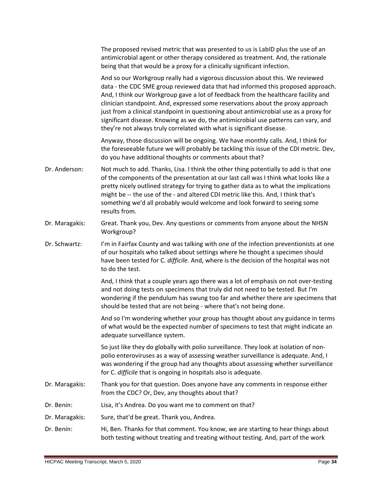The proposed revised metric that was presented to us is LabID plus the use of an antimicrobial agent or other therapy considered as treatment. And, the rationale being that that would be a proxy for a clinically significant infection.

And so our Workgroup really had a vigorous discussion about this. We reviewed data - the CDC SME group reviewed data that had informed this proposed approach. And, I think our Workgroup gave a lot of feedback from the healthcare facility and clinician standpoint. And, expressed some reservations about the proxy approach just from a clinical standpoint in questioning about antimicrobial use as a proxy for significant disease. Knowing as we do, the antimicrobial use patterns can vary, and they're not always truly correlated with what is significant disease.

Anyway, those discussion will be ongoing. We have monthly calls. And, I think for the foreseeable future we will probably be tackling this issue of the CDI metric. Dev, do you have additional thoughts or comments about that?

- Dr. Anderson: Not much to add. Thanks, Lisa. I think the other thing potentially to add is that one of the components of the presentation at our last call was I think what looks like a pretty nicely outlined strategy for trying to gather data as to what the implications might be -- the use of the - and altered CDI metric like this. And, I think that's something we'd all probably would welcome and look forward to seeing some results from.
- Dr. Maragakis: Great. Thank you, Dev. Any questions or comments from anyone about the NHSN Workgroup?
- Dr. Schwartz: I'm in Fairfax County and was talking with one of the infection preventionists at one of our hospitals who talked about settings where he thought a specimen should have been tested for C. *difficile*. And, where is the decision of the hospital was not to do the test.

And, I think that a couple years ago there was a lot of emphasis on not over-testing and not doing tests on specimens that truly did not need to be tested. But I'm wondering if the pendulum has swung too far and whether there are specimens that should be tested that are not being - where that's not being done.

And so I'm wondering whether your group has thought about any guidance in terms of what would be the expected number of specimens to test that might indicate an adequate surveillance system.

So just like they do globally with polio surveillance. They look at isolation of nonpolio enteroviruses as a way of assessing weather surveillance is adequate. And, I was wondering if the group had any thoughts about assessing whether surveillance for C. *difficile* that is ongoing in hospitals also is adequate.

- Dr. Maragakis: Thank you for that question. Does anyone have any comments in response either from the CDC? Or, Dev, any thoughts about that?
- Dr. Benin: Lisa, it's Andrea. Do you want me to comment on that?
- Dr. Maragakis: Sure, that'd be great. Thank you, Andrea.
- Dr. Benin: Hi, Ben. Thanks for that comment. You know, we are starting to hear things about both testing without treating and treating without testing. And, part of the work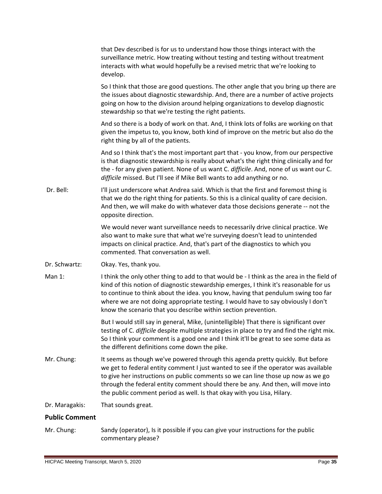|                       | that Dev described is for us to understand how those things interact with the<br>surveillance metric. How treating without testing and testing without treatment<br>interacts with what would hopefully be a revised metric that we're looking to<br>develop.                                                                                                                                                                   |
|-----------------------|---------------------------------------------------------------------------------------------------------------------------------------------------------------------------------------------------------------------------------------------------------------------------------------------------------------------------------------------------------------------------------------------------------------------------------|
|                       | So I think that those are good questions. The other angle that you bring up there are<br>the issues about diagnostic stewardship. And, there are a number of active projects<br>going on how to the division around helping organizations to develop diagnostic<br>stewardship so that we're testing the right patients.                                                                                                        |
|                       | And so there is a body of work on that. And, I think lots of folks are working on that<br>given the impetus to, you know, both kind of improve on the metric but also do the<br>right thing by all of the patients.                                                                                                                                                                                                             |
|                       | And so I think that's the most important part that - you know, from our perspective<br>is that diagnostic stewardship is really about what's the right thing clinically and for<br>the - for any given patient. None of us want C. difficile. And, none of us want our C.<br>difficile missed. But I'll see if Mike Bell wants to add anything or no.                                                                           |
| Dr. Bell:             | I'll just underscore what Andrea said. Which is that the first and foremost thing is<br>that we do the right thing for patients. So this is a clinical quality of care decision.<br>And then, we will make do with whatever data those decisions generate -- not the<br>opposite direction.                                                                                                                                     |
|                       | We would never want surveillance needs to necessarily drive clinical practice. We<br>also want to make sure that what we're surveying doesn't lead to unintended<br>impacts on clinical practice. And, that's part of the diagnostics to which you<br>commented. That conversation as well.                                                                                                                                     |
| Dr. Schwartz:         | Okay. Yes, thank you.                                                                                                                                                                                                                                                                                                                                                                                                           |
| Man 1:                | I think the only other thing to add to that would be - I think as the area in the field of<br>kind of this notion of diagnostic stewardship emerges, I think it's reasonable for us<br>to continue to think about the idea. you know, having that pendulum swing too far<br>where we are not doing appropriate testing. I would have to say obviously I don't<br>know the scenario that you describe within section prevention. |
|                       | But I would still say in general, Mike, (unintelligible) That there is significant over<br>testing of C. difficile despite multiple strategies in place to try and find the right mix.<br>So I think your comment is a good one and I think it'll be great to see some data as<br>the different definitions come down the pike.                                                                                                 |
| Mr. Chung:            | It seems as though we've powered through this agenda pretty quickly. But before<br>we get to federal entity comment I just wanted to see if the operator was available<br>to give her instructions on public comments so we can line those up now as we go<br>through the federal entity comment should there be any. And then, will move into<br>the public comment period as well. Is that okay with you Lisa, Hilary.        |
| Dr. Maragakis:        | That sounds great.                                                                                                                                                                                                                                                                                                                                                                                                              |
| <b>Public Comment</b> |                                                                                                                                                                                                                                                                                                                                                                                                                                 |
|                       |                                                                                                                                                                                                                                                                                                                                                                                                                                 |

<span id="page-34-0"></span>Mr. Chung: Sandy (operator), Is it possible if you can give your instructions for the public commentary please?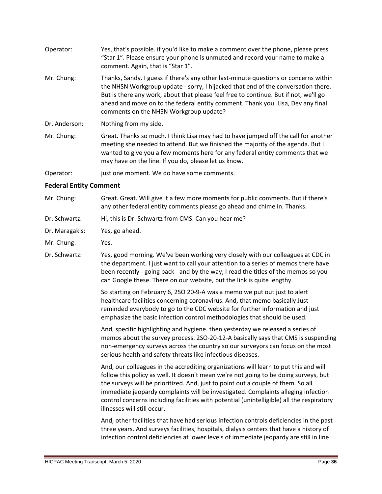- Operator: Yes, that's possible. if you'd like to make a comment over the phone, please press "Star 1". Please ensure your phone is unmuted and record your name to make a comment. Again, that is "Star 1".
- Mr. Chung: Thanks, Sandy. I guess if there's any other last-minute questions or concerns within the NHSN Workgroup update - sorry, I hijacked that end of the conversation there. But is there any work, about that please feel free to continue. But if not, we'll go ahead and move on to the federal entity comment. Thank you. Lisa, Dev any final comments on the NHSN Workgroup update?
- Dr. Anderson: Nothing from my side.
- Mr. Chung: Great. Thanks so much. I think Lisa may had to have jumped off the call for another meeting she needed to attend. But we finished the majority of the agenda. But I wanted to give you a few moments here for any federal entity comments that we may have on the line. If you do, please let us know.
- Operator: just one moment. We do have some comments.

# <span id="page-35-0"></span>**Federal Entity Comment**

- Mr. Chung: Great. Great. Will give it a few more moments for public comments. But if there's any other federal entity comments please go ahead and chime in. Thanks.
- Dr. Schwartz: Hi, this is Dr. Schwartz from CMS. Can you hear me?
- Dr. Maragakis: Yes, go ahead.
- Mr. Chung: Yes.
- Dr. Schwartz: Yes, good morning. We've been working very closely with our colleagues at CDC in the department. I just want to call your attention to a series of memos there have been recently - going back - and by the way, I read the titles of the memos so you can Google these. There on our website, but the link is quite lengthy.

So starting on February 6, 2SO 20-9-A was a memo we put out just to alert healthcare facilities concerning coronavirus. And, that memo basically Just reminded everybody to go to the CDC website for further information and just emphasize the basic infection control methodologies that should be used.

And, specific highlighting and hygiene. then yesterday we released a series of memos about the survey process. 2SO-20-12-A basically says that CMS is suspending non-emergency surveys across the country so our surveyors can focus on the most serious health and safety threats like infectious diseases.

And, our colleagues in the accrediting organizations will learn to put this and will follow this policy as well. It doesn't mean we're not going to be doing surveys, but the surveys will be prioritized. And, just to point out a couple of them. So all immediate jeopardy complaints will be investigated. Complaints alleging infection control concerns including facilities with potential (unintelligible) all the respiratory illnesses will still occur.

And, other facilities that have had serious infection controls deficiencies in the past three years. And surveys facilities, hospitals, dialysis centers that have a history of infection control deficiencies at lower levels of immediate jeopardy are still in line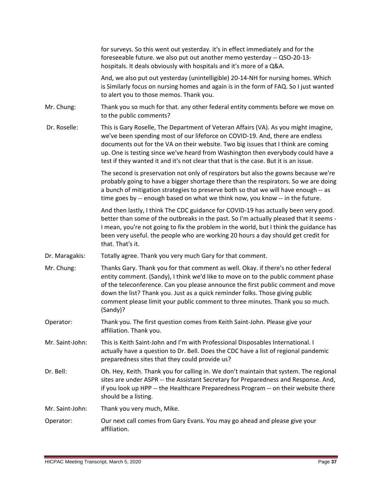|                 | for surveys. So this went out yesterday. it's in effect immediately and for the<br>foreseeable future. we also put out another memo yesterday -- QSO-20-13-<br>hospitals. It deals obviously with hospitals and it's more of a Q&A.                                                                                                                                                                                                       |
|-----------------|-------------------------------------------------------------------------------------------------------------------------------------------------------------------------------------------------------------------------------------------------------------------------------------------------------------------------------------------------------------------------------------------------------------------------------------------|
|                 | And, we also put out yesterday (unintelligible) 20-14-NH for nursing homes. Which<br>is Similarly focus on nursing homes and again is in the form of FAQ. So I just wanted<br>to alert you to those memos. Thank you.                                                                                                                                                                                                                     |
| Mr. Chung:      | Thank you so much for that. any other federal entity comments before we move on<br>to the public comments?                                                                                                                                                                                                                                                                                                                                |
| Dr. Roselle:    | This is Gary Roselle, The Department of Veteran Affairs (VA). As you might imagine,<br>we've been spending most of our lifeforce on COVID-19. And, there are endless<br>documents out for the VA on their website. Two big issues that I think are coming<br>up. One is testing since we've heard from Washington then everybody could have a<br>test if they wanted it and it's not clear that that is the case. But it is an issue.     |
|                 | The second is preservation not only of respirators but also the gowns because we're<br>probably going to have a bigger shortage there than the respirators. So we are doing<br>a bunch of mitigation strategies to preserve both so that we will have enough -- as<br>time goes by -- enough based on what we think now, you know -- in the future.                                                                                       |
|                 | And then lastly, I think The CDC guidance for COVID-19 has actually been very good.<br>better than some of the outbreaks in the past. So I'm actually pleased that it seems -<br>I mean, you're not going to fix the problem in the world, but I think the guidance has<br>been very useful. the people who are working 20 hours a day should get credit for<br>that. That's it.                                                          |
| Dr. Maragakis:  | Totally agree. Thank you very much Gary for that comment.                                                                                                                                                                                                                                                                                                                                                                                 |
| Mr. Chung:      | Thanks Gary. Thank you for that comment as well. Okay. if there's no other federal<br>entity comment. (Sandy), I think we'd like to move on to the public comment phase<br>of the teleconference. Can you please announce the first public comment and move<br>down the list? Thank you. Just as a quick reminder folks. Those giving public<br>comment please limit your public comment to three minutes. Thank you so much.<br>(Sandy)? |
| Operator:       | Thank you. The first question comes from Keith Saint-John. Please give your<br>affiliation. Thank you.                                                                                                                                                                                                                                                                                                                                    |
| Mr. Saint-John: | This is Keith Saint-John and I'm with Professional Disposables International. I<br>actually have a question to Dr. Bell. Does the CDC have a list of regional pandemic<br>preparedness sites that they could provide us?                                                                                                                                                                                                                  |
| Dr. Bell:       | Oh. Hey, Keith. Thank you for calling in. We don't maintain that system. The regional<br>sites are under ASPR -- the Assistant Secretary for Preparedness and Response. And,<br>if you look up HPP -- the Healthcare Preparedness Program -- on their website there<br>should be a listing.                                                                                                                                               |
| Mr. Saint-John: | Thank you very much, Mike.                                                                                                                                                                                                                                                                                                                                                                                                                |
| Operator:       | Our next call comes from Gary Evans. You may go ahead and please give your<br>affiliation.                                                                                                                                                                                                                                                                                                                                                |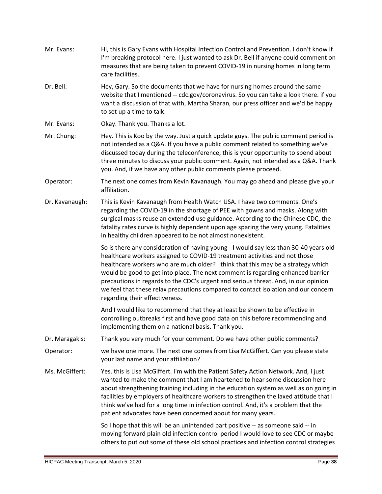| Mr. Evans:     | Hi, this is Gary Evans with Hospital Infection Control and Prevention. I don't know if<br>I'm breaking protocol here. I just wanted to ask Dr. Bell if anyone could comment on<br>measures that are being taken to prevent COVID-19 in nursing homes in long term<br>care facilities.                                                                                                                                                                                                                                                                    |
|----------------|----------------------------------------------------------------------------------------------------------------------------------------------------------------------------------------------------------------------------------------------------------------------------------------------------------------------------------------------------------------------------------------------------------------------------------------------------------------------------------------------------------------------------------------------------------|
| Dr. Bell:      | Hey, Gary. So the documents that we have for nursing homes around the same<br>website that I mentioned -- cdc.gov/coronavirus. So you can take a look there. if you<br>want a discussion of that with, Martha Sharan, our press officer and we'd be happy<br>to set up a time to talk.                                                                                                                                                                                                                                                                   |
| Mr. Evans:     | Okay. Thank you. Thanks a lot.                                                                                                                                                                                                                                                                                                                                                                                                                                                                                                                           |
| Mr. Chung:     | Hey. This is Koo by the way. Just a quick update guys. The public comment period is<br>not intended as a Q&A. If you have a public comment related to something we've<br>discussed today during the teleconference, this is your opportunity to spend about<br>three minutes to discuss your public comment. Again, not intended as a Q&A. Thank<br>you. And, if we have any other public comments please proceed.                                                                                                                                       |
| Operator:      | The next one comes from Kevin Kavanaugh. You may go ahead and please give your<br>affiliation.                                                                                                                                                                                                                                                                                                                                                                                                                                                           |
| Dr. Kavanaugh: | This is Kevin Kavanaugh from Health Watch USA. I have two comments. One's<br>regarding the COVID-19 in the shortage of PEE with gowns and masks. Along with<br>surgical masks reuse an extended use guidance. According to the Chinese CDC, the<br>fatality rates curve is highly dependent upon age sparing the very young. Fatalities<br>in healthy children appeared to be not almost nonexistent.                                                                                                                                                    |
|                | So is there any consideration of having young - I would say less than 30-40 years old<br>healthcare workers assigned to COVID-19 treatment activities and not those<br>healthcare workers who are much older? I think that this may be a strategy which<br>would be good to get into place. The next comment is regarding enhanced barrier<br>precautions in regards to the CDC's urgent and serious threat. And, in our opinion<br>we feel that these relax precautions compared to contact isolation and our concern<br>regarding their effectiveness. |
|                | And I would like to recommend that they at least be shown to be effective in<br>controlling outbreaks first and have good data on this before recommending and<br>implementing them on a national basis. Thank you.                                                                                                                                                                                                                                                                                                                                      |
| Dr. Maragakis: | Thank you very much for your comment. Do we have other public comments?                                                                                                                                                                                                                                                                                                                                                                                                                                                                                  |
| Operator:      | we have one more. The next one comes from Lisa McGiffert. Can you please state<br>your last name and your affiliation?                                                                                                                                                                                                                                                                                                                                                                                                                                   |
| Ms. McGiffert: | Yes. this is Lisa McGiffert. I'm with the Patient Safety Action Network. And, I just<br>wanted to make the comment that I am heartened to hear some discussion here<br>about strengthening training including in the education system as well as on going in<br>facilities by employers of healthcare workers to strengthen the laxed attitude that I<br>think we've had for a long time in infection control. And, it's a problem that the<br>patient advocates have been concerned about for many years.                                               |
|                | So I hope that this will be an unintended part positive -- as someone said -- in<br>moving forward plain old infection control period I would love to see CDC or maybe<br>others to put out some of these old school practices and infection control strategies                                                                                                                                                                                                                                                                                          |

 $\sim$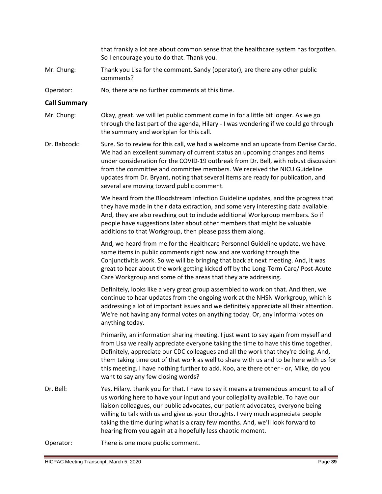that frankly a lot are about common sense that the healthcare system has forgotten. So I encourage you to do that. Thank you.

- Mr. Chung: Thank you Lisa for the comment. Sandy (operator), are there any other public comments?
- Operator: No, there are no further comments at this time.

#### <span id="page-38-0"></span>**Call Summary**

- Mr. Chung: Okay, great. we will let public comment come in for a little bit longer. As we go through the last part of the agenda, Hilary - I was wondering if we could go through the summary and workplan for this call.
- Dr. Babcock: Sure. So to review for this call, we had a welcome and an update from Denise Cardo. We had an excellent summary of current status an upcoming changes and items under consideration for the COVID-19 outbreak from Dr. Bell, with robust discussion from the committee and committee members. We received the NICU Guideline updates from Dr. Bryant, noting that several items are ready for publication, and several are moving toward public comment.

We heard from the Bloodstream Infection Guideline updates, and the progress that they have made in their data extraction, and some very interesting data available. And, they are also reaching out to include additional Workgroup members. So if people have suggestions later about other members that might be valuable additions to that Workgroup, then please pass them along.

And, we heard from me for the Healthcare Personnel Guideline update, we have some items in public comments right now and are working through the Conjunctivitis work. So we will be bringing that back at next meeting. And, it was great to hear about the work getting kicked off by the Long-Term Care/ Post-Acute Care Workgroup and some of the areas that they are addressing.

Definitely, looks like a very great group assembled to work on that. And then, we continue to hear updates from the ongoing work at the NHSN Workgroup, which is addressing a lot of important issues and we definitely appreciate all their attention. We're not having any formal votes on anything today. Or, any informal votes on anything today.

Primarily, an information sharing meeting. I just want to say again from myself and from Lisa we really appreciate everyone taking the time to have this time together. Definitely, appreciate our CDC colleagues and all the work that they're doing. And, them taking time out of that work as well to share with us and to be here with us for this meeting. I have nothing further to add. Koo, are there other - or, Mike, do you want to say any few closing words?

Dr. Bell: Yes, Hilary. thank you for that. I have to say it means a tremendous amount to all of us working here to have your input and your collegiality available. To have our liaison colleagues, our public advocates, our patient advocates, everyone being willing to talk with us and give us your thoughts. I very much appreciate people taking the time during what is a crazy few months. And, we'll look forward to hearing from you again at a hopefully less chaotic moment.

Operator: There is one more public comment.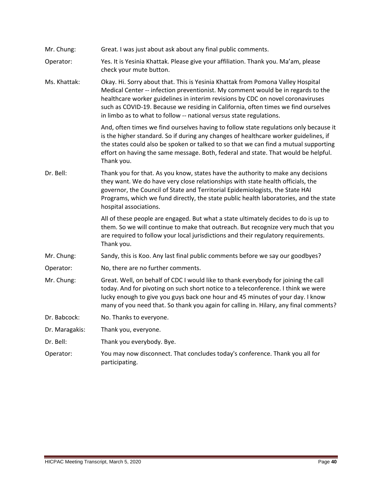| Mr. Chung:     | Great. I was just about ask about any final public comments.                                                                                                                                                                                                                                                                                                                                                        |
|----------------|---------------------------------------------------------------------------------------------------------------------------------------------------------------------------------------------------------------------------------------------------------------------------------------------------------------------------------------------------------------------------------------------------------------------|
| Operator:      | Yes. It is Yesinia Khattak. Please give your affiliation. Thank you. Ma'am, please<br>check your mute button.                                                                                                                                                                                                                                                                                                       |
| Ms. Khattak:   | Okay. Hi. Sorry about that. This is Yesinia Khattak from Pomona Valley Hospital<br>Medical Center -- infection preventionist. My comment would be in regards to the<br>healthcare worker guidelines in interim revisions by CDC on novel coronaviruses<br>such as COVID-19. Because we residing in California, often times we find ourselves<br>in limbo as to what to follow -- national versus state regulations. |
|                | And, often times we find ourselves having to follow state regulations only because it<br>is the higher standard. So if during any changes of healthcare worker guidelines, if<br>the states could also be spoken or talked to so that we can find a mutual supporting<br>effort on having the same message. Both, federal and state. That would be helpful.<br>Thank you.                                           |
| Dr. Bell:      | Thank you for that. As you know, states have the authority to make any decisions<br>they want. We do have very close relationships with state health officials, the<br>governor, the Council of State and Territorial Epidemiologists, the State HAI<br>Programs, which we fund directly, the state public health laboratories, and the state<br>hospital associations.                                             |
|                | All of these people are engaged. But what a state ultimately decides to do is up to<br>them. So we will continue to make that outreach. But recognize very much that you<br>are required to follow your local jurisdictions and their regulatory requirements.<br>Thank you.                                                                                                                                        |
| Mr. Chung:     | Sandy, this is Koo. Any last final public comments before we say our goodbyes?                                                                                                                                                                                                                                                                                                                                      |
| Operator:      | No, there are no further comments.                                                                                                                                                                                                                                                                                                                                                                                  |
| Mr. Chung:     | Great. Well, on behalf of CDC I would like to thank everybody for joining the call<br>today. And for pivoting on such short notice to a teleconference. I think we were<br>lucky enough to give you guys back one hour and 45 minutes of your day. I know<br>many of you need that. So thank you again for calling in. Hilary, any final comments?                                                                  |
| Dr. Babcock:   | No. Thanks to everyone.                                                                                                                                                                                                                                                                                                                                                                                             |
| Dr. Maragakis: | Thank you, everyone.                                                                                                                                                                                                                                                                                                                                                                                                |
| Dr. Bell:      | Thank you everybody. Bye.                                                                                                                                                                                                                                                                                                                                                                                           |
| Operator:      | You may now disconnect. That concludes today's conference. Thank you all for<br>participating.                                                                                                                                                                                                                                                                                                                      |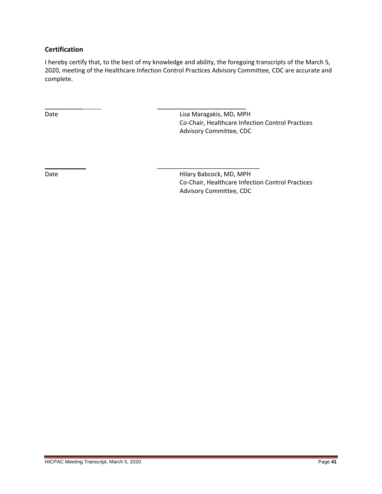# <span id="page-40-0"></span>**Certification**

I hereby certify that, to the best of my knowledge and ability, the foregoing transcripts of the March 5, 2020, meeting of the Healthcare Infection Control Practices Advisory Committee, CDC are accurate and complete.

\_\_\_\_\_\_\_\_\_\_\_\_ \_\_\_\_\_\_\_\_\_\_\_\_\_\_\_\_\_\_\_\_\_\_\_\_\_\_\_\_\_\_

\_\_\_\_\_\_\_\_\_\_\_ \_\_\_\_\_\_\_\_\_\_\_\_\_\_\_\_\_\_\_\_\_\_\_\_\_\_ Date **Date Lisa Maragakis, MD, MPH** Co-Chair, Healthcare Infection Control Practices Advisory Committee, CDC

Date **Date Hilary Babcock, MD, MPH** Co-Chair, Healthcare Infection Control Practices Advisory Committee, CDC